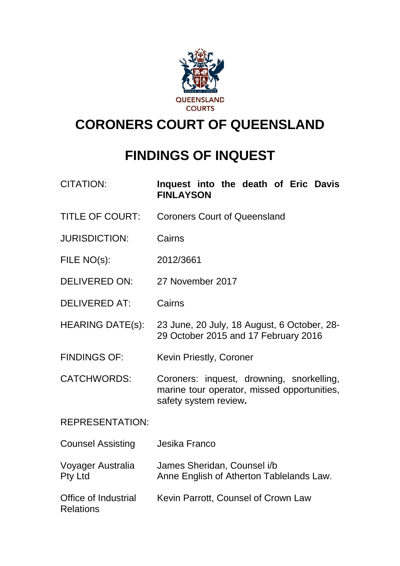

# **CORONERS COURT OF QUEENSLAND**

# **FINDINGS OF INQUEST**

| <b>CITATION:</b>                                | Inquest into the death of Eric Davis<br><b>FINLAYSON</b>                                                          |
|-------------------------------------------------|-------------------------------------------------------------------------------------------------------------------|
| <b>TITLE OF COURT:</b>                          | <b>Coroners Court of Queensland</b>                                                                               |
| <b>JURISDICTION:</b>                            | Cairns                                                                                                            |
| FILE NO(s):                                     | 2012/3661                                                                                                         |
| <b>DELIVERED ON:</b>                            | 27 November 2017                                                                                                  |
| <b>DELIVERED AT:</b>                            | Cairns                                                                                                            |
| <b>HEARING DATE(s):</b>                         | 23 June, 20 July, 18 August, 6 October, 28-<br>29 October 2015 and 17 February 2016                               |
| <b>FINDINGS OF:</b>                             | <b>Kevin Priestly, Coroner</b>                                                                                    |
| <b>CATCHWORDS:</b>                              | Coroners: inquest, drowning, snorkelling,<br>marine tour operator, missed opportunities,<br>safety system review. |
| <b>REPRESENTATION:</b>                          |                                                                                                                   |
| <b>Counsel Assisting</b>                        | Jesika Franco                                                                                                     |
| Voyager Australia<br><b>Pty Ltd</b>             | James Sheridan, Counsel i/b<br>Anne English of Atherton Tablelands Law.                                           |
| <b>Office of Industrial</b><br><b>Relations</b> | Kevin Parrott, Counsel of Crown Law                                                                               |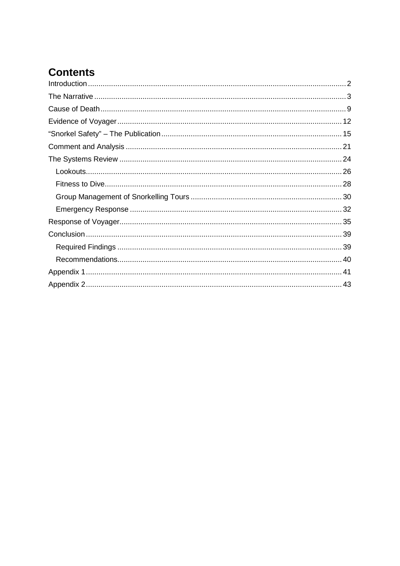# **Contents**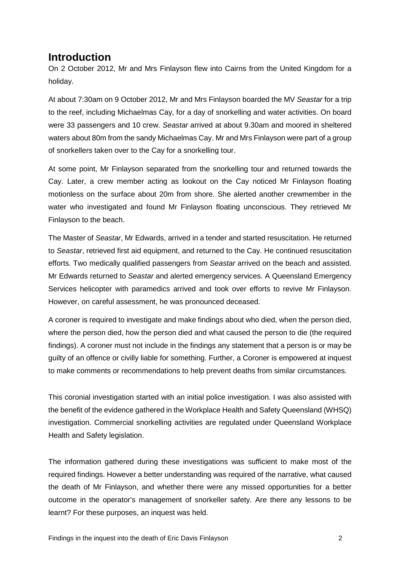### <span id="page-2-0"></span>**Introduction**

On 2 October 2012, Mr and Mrs Finlayson flew into Cairns from the United Kingdom for a holiday.

At about 7:30am on 9 October 2012, Mr and Mrs Finlayson boarded the MV *Seastar* for a trip to the reef, including Michaelmas Cay, for a day of snorkelling and water activities. On board were 33 passengers and 10 crew. *Seastar* arrived at about 9.30am and moored in sheltered waters about 80m from the sandy Michaelmas Cay. Mr and Mrs Finlayson were part of a group of snorkellers taken over to the Cay for a snorkelling tour.

At some point, Mr Finlayson separated from the snorkelling tour and returned towards the Cay. Later, a crew member acting as lookout on the Cay noticed Mr Finlayson floating motionless on the surface about 20m from shore. She alerted another crewmember in the water who investigated and found Mr Finlayson floating unconscious. They retrieved Mr Finlayson to the beach.

The Master of *Seastar*, Mr Edwards, arrived in a tender and started resuscitation. He returned to *Seastar*, retrieved first aid equipment, and returned to the Cay. He continued resuscitation efforts. Two medically qualified passengers from *Seastar* arrived on the beach and assisted. Mr Edwards returned to *Seastar* and alerted emergency services. A Queensland Emergency Services helicopter with paramedics arrived and took over efforts to revive Mr Finlayson. However, on careful assessment, he was pronounced deceased.

A coroner is required to investigate and make findings about who died, when the person died, where the person died, how the person died and what caused the person to die (the required findings). A coroner must not include in the findings any statement that a person is or may be guilty of an offence or civilly liable for something. Further, a Coroner is empowered at inquest to make comments or recommendations to help prevent deaths from similar circumstances.

This coronial investigation started with an initial police investigation. I was also assisted with the benefit of the evidence gathered in the Workplace Health and Safety Queensland (WHSQ) investigation. Commercial snorkelling activities are regulated under Queensland Workplace Health and Safety legislation.

The information gathered during these investigations was sufficient to make most of the required findings. However a better understanding was required of the narrative, what caused the death of Mr Finlayson, and whether there were any missed opportunities for a better outcome in the operator's management of snorkeller safety. Are there any lessons to be learnt? For these purposes, an inquest was held.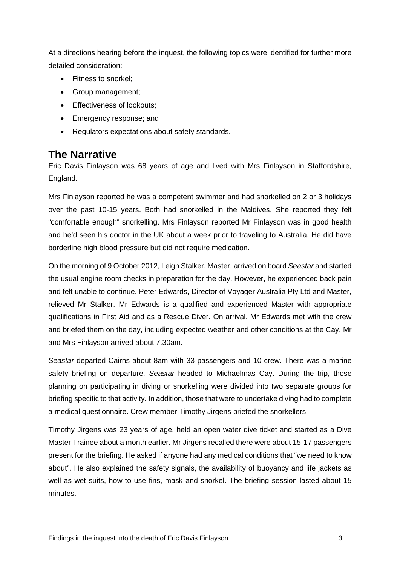At a directions hearing before the inquest, the following topics were identified for further more detailed consideration:

- Fitness to snorkel;
- Group management;
- Effectiveness of lookouts;
- Emergency response; and
- Regulators expectations about safety standards.

### <span id="page-3-0"></span>**The Narrative**

Eric Davis Finlayson was 68 years of age and lived with Mrs Finlayson in Staffordshire, England.

Mrs Finlayson reported he was a competent swimmer and had snorkelled on 2 or 3 holidays over the past 10-15 years. Both had snorkelled in the Maldives. She reported they felt "comfortable enough" snorkelling. Mrs Finlayson reported Mr Finlayson was in good health and he'd seen his doctor in the UK about a week prior to traveling to Australia. He did have borderline high blood pressure but did not require medication.

On the morning of 9 October 2012, Leigh Stalker, Master, arrived on board *Seastar* and started the usual engine room checks in preparation for the day. However, he experienced back pain and felt unable to continue. Peter Edwards, Director of Voyager Australia Pty Ltd and Master, relieved Mr Stalker. Mr Edwards is a qualified and experienced Master with appropriate qualifications in First Aid and as a Rescue Diver. On arrival, Mr Edwards met with the crew and briefed them on the day, including expected weather and other conditions at the Cay. Mr and Mrs Finlayson arrived about 7.30am.

*Seastar* departed Cairns about 8am with 33 passengers and 10 crew. There was a marine safety briefing on departure. *Seastar* headed to Michaelmas Cay. During the trip, those planning on participating in diving or snorkelling were divided into two separate groups for briefing specific to that activity. In addition, those that were to undertake diving had to complete a medical questionnaire. Crew member Timothy Jirgens briefed the snorkellers.

Timothy Jirgens was 23 years of age, held an open water dive ticket and started as a Dive Master Trainee about a month earlier. Mr Jirgens recalled there were about 15-17 passengers present for the briefing. He asked if anyone had any medical conditions that "we need to know about". He also explained the safety signals, the availability of buoyancy and life jackets as well as wet suits, how to use fins, mask and snorkel. The briefing session lasted about 15 minutes.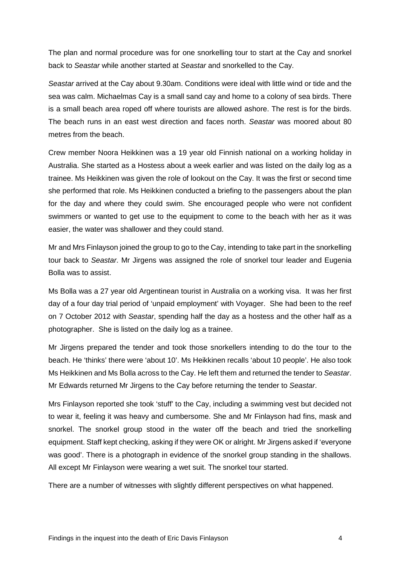The plan and normal procedure was for one snorkelling tour to start at the Cay and snorkel back to *Seastar* while another started at *Seastar* and snorkelled to the Cay.

*Seastar* arrived at the Cay about 9.30am. Conditions were ideal with little wind or tide and the sea was calm. Michaelmas Cay is a small sand cay and home to a colony of sea birds. There is a small beach area roped off where tourists are allowed ashore. The rest is for the birds. The beach runs in an east west direction and faces north. *Seastar* was moored about 80 metres from the beach.

Crew member Noora Heikkinen was a 19 year old Finnish national on a working holiday in Australia. She started as a Hostess about a week earlier and was listed on the daily log as a trainee. Ms Heikkinen was given the role of lookout on the Cay. It was the first or second time she performed that role. Ms Heikkinen conducted a briefing to the passengers about the plan for the day and where they could swim. She encouraged people who were not confident swimmers or wanted to get use to the equipment to come to the beach with her as it was easier, the water was shallower and they could stand.

Mr and Mrs Finlayson joined the group to go to the Cay, intending to take part in the snorkelling tour back to *Seastar*. Mr Jirgens was assigned the role of snorkel tour leader and Eugenia Bolla was to assist.

Ms Bolla was a 27 year old Argentinean tourist in Australia on a working visa. It was her first day of a four day trial period of 'unpaid employment' with Voyager. She had been to the reef on 7 October 2012 with *Seastar*, spending half the day as a hostess and the other half as a photographer. She is listed on the daily log as a trainee.

Mr Jirgens prepared the tender and took those snorkellers intending to do the tour to the beach. He 'thinks' there were 'about 10'. Ms Heikkinen recalls 'about 10 people'. He also took Ms Heikkinen and Ms Bolla across to the Cay. He left them and returned the tender to *Seastar*. Mr Edwards returned Mr Jirgens to the Cay before returning the tender to *Seastar*.

Mrs Finlayson reported she took 'stuff' to the Cay, including a swimming vest but decided not to wear it, feeling it was heavy and cumbersome. She and Mr Finlayson had fins, mask and snorkel. The snorkel group stood in the water off the beach and tried the snorkelling equipment. Staff kept checking, asking if they were OK or alright. Mr Jirgens asked if 'everyone was good'. There is a photograph in evidence of the snorkel group standing in the shallows. All except Mr Finlayson were wearing a wet suit. The snorkel tour started.

There are a number of witnesses with slightly different perspectives on what happened.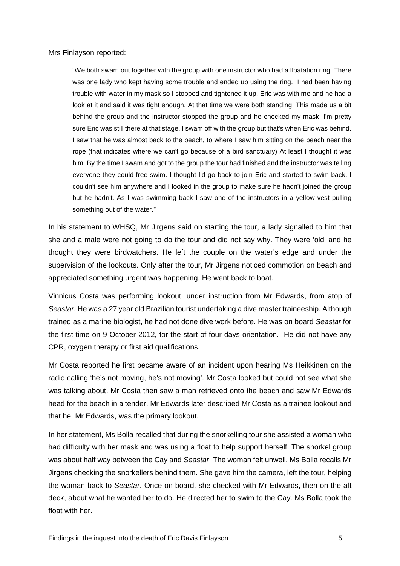Mrs Finlayson reported:

"We both swam out together with the group with one instructor who had a floatation ring. There was one lady who kept having some trouble and ended up using the ring. I had been having trouble with water in my mask so I stopped and tightened it up. Eric was with me and he had a look at it and said it was tight enough. At that time we were both standing. This made us a bit behind the group and the instructor stopped the group and he checked my mask. I'm pretty sure Eric was still there at that stage. I swam off with the group but that's when Eric was behind. I saw that he was almost back to the beach, to where I saw him sitting on the beach near the rope (that indicates where we can't go because of a bird sanctuary) At least I thought it was him. By the time I swam and got to the group the tour had finished and the instructor was telling everyone they could free swim. I thought I'd go back to join Eric and started to swim back. I couldn't see him anywhere and I looked in the group to make sure he hadn't joined the group but he hadn't. As I was swimming back I saw one of the instructors in a yellow vest pulling something out of the water."

In his statement to WHSQ, Mr Jirgens said on starting the tour, a lady signalled to him that she and a male were not going to do the tour and did not say why. They were 'old' and he thought they were birdwatchers. He left the couple on the water's edge and under the supervision of the lookouts. Only after the tour, Mr Jirgens noticed commotion on beach and appreciated something urgent was happening. He went back to boat.

Vinnicus Costa was performing lookout, under instruction from Mr Edwards, from atop of *Seastar*. He was a 27 year old Brazilian tourist undertaking a dive master traineeship. Although trained as a marine biologist, he had not done dive work before. He was on board *Seastar* for the first time on 9 October 2012, for the start of four days orientation. He did not have any CPR, oxygen therapy or first aid qualifications.

Mr Costa reported he first became aware of an incident upon hearing Ms Heikkinen on the radio calling 'he's not moving, he's not moving'. Mr Costa looked but could not see what she was talking about. Mr Costa then saw a man retrieved onto the beach and saw Mr Edwards head for the beach in a tender. Mr Edwards later described Mr Costa as a trainee lookout and that he, Mr Edwards, was the primary lookout.

In her statement, Ms Bolla recalled that during the snorkelling tour she assisted a woman who had difficulty with her mask and was using a float to help support herself. The snorkel group was about half way between the Cay and *Seastar*. The woman felt unwell. Ms Bolla recalls Mr Jirgens checking the snorkellers behind them. She gave him the camera, left the tour, helping the woman back to *Seastar*. Once on board, she checked with Mr Edwards, then on the aft deck, about what he wanted her to do. He directed her to swim to the Cay. Ms Bolla took the float with her.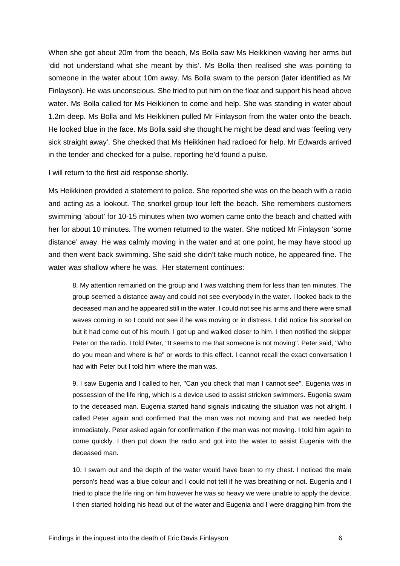When she got about 20m from the beach, Ms Bolla saw Ms Heikkinen waving her arms but 'did not understand what she meant by this'. Ms Bolla then realised she was pointing to someone in the water about 10m away. Ms Bolla swam to the person (later identified as Mr Finlayson). He was unconscious. She tried to put him on the float and support his head above water. Ms Bolla called for Ms Heikkinen to come and help. She was standing in water about 1.2m deep. Ms Bolla and Ms Heikkinen pulled Mr Finlayson from the water onto the beach. He looked blue in the face. Ms Bolla said she thought he might be dead and was 'feeling very sick straight away'. She checked that Ms Heikkinen had radioed for help. Mr Edwards arrived in the tender and checked for a pulse, reporting he'd found a pulse.

I will return to the first aid response shortly.

Ms Heikkinen provided a statement to police. She reported she was on the beach with a radio and acting as a lookout. The snorkel group tour left the beach. She remembers customers swimming 'about' for 10-15 minutes when two women came onto the beach and chatted with her for about 10 minutes. The women returned to the water. She noticed Mr Finlayson 'some distance' away. He was calmly moving in the water and at one point, he may have stood up and then went back swimming. She said she didn't take much notice, he appeared fine. The water was shallow where he was. Her statement continues:

8. My attention remained on the group and I was watching them for less than ten minutes. The group seemed a distance away and could not see everybody in the water. I looked back to the deceased man and he appeared still in the water. I could not see his arms and there were small waves coming in so I could not see if he was moving or in distress. I did notice his snorkel on but it had come out of his mouth. I got up and walked closer to him. I then notified the skipper Peter on the radio. I told Peter, "It seems to me that someone is not moving". Peter said, "Who do you mean and where is he" or words to this effect. I cannot recall the exact conversation I had with Peter but I told him where the man was.

9. I saw Eugenia and I called to her, "Can you check that man I cannot see". Eugenia was in possession of the life ring, which is a device used to assist stricken swimmers. Eugenia swam to the deceased man. Eugenia started hand signals indicating the situation was not alright. I called Peter again and confirmed that the man was not moving and that we needed help immediately. Peter asked again for confirmation if the man was not moving. I told him again to come quickly. I then put down the radio and got into the water to assist Eugenia with the deceased man.

10. I swam out and the depth of the water would have been to my chest. I noticed the male person's head was a blue colour and I could not tell if he was breathing or not. Eugenia and I tried to place the life ring on him however he was so heavy we were unable to apply the device. I then started holding his head out of the water and Eugenia and I were dragging him from the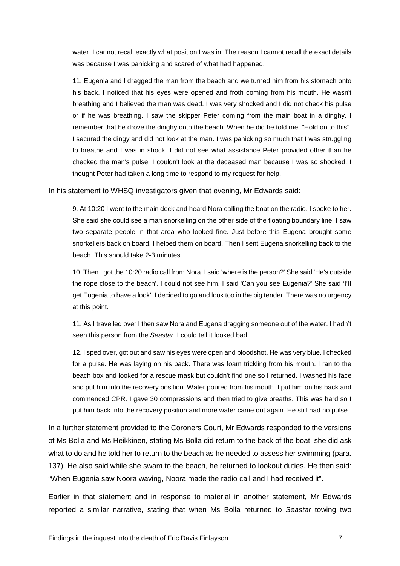water. I cannot recall exactly what position I was in. The reason I cannot recall the exact details was because I was panicking and scared of what had happened.

11. Eugenia and I dragged the man from the beach and we turned him from his stomach onto his back. I noticed that his eyes were opened and froth coming from his mouth. He wasn't breathing and I believed the man was dead. I was very shocked and I did not check his pulse or if he was breathing. I saw the skipper Peter coming from the main boat in a dinghy. I remember that he drove the dinghy onto the beach. When he did he told me, "Hold on to this". I secured the dingy and did not look at the man. I was panicking so much that I was struggling to breathe and I was in shock. I did not see what assistance Peter provided other than he checked the man's pulse. I couldn't look at the deceased man because I was so shocked. I thought Peter had taken a long time to respond to my request for help.

In his statement to WHSQ investigators given that evening, Mr Edwards said:

9. At 10:20 I went to the main deck and heard Nora calling the boat on the radio. I spoke to her. She said she could see a man snorkelling on the other side of the floating boundary line. I saw two separate people in that area who looked fine. Just before this Eugena brought some snorkellers back on board. I helped them on board. Then I sent Eugena snorkelling back to the beach. This should take 2-3 minutes.

10. Then I got the 10:20 radio call from Nora. I said 'where is the person?' She said 'He's outside the rope close to the beach'. I could not see him. I said 'Can you see Eugenia?' She said 'I'II get Eugenia to have a look'. I decided to go and look too in the big tender. There was no urgency at this point.

11. As I travelled over I then saw Nora and Eugena dragging someone out of the water. I hadn't seen this person from the *Seastar*. I could tell it looked bad.

12. I sped over, got out and saw his eyes were open and bloodshot. He was very blue. I checked for a pulse. He was laying on his back. There was foam trickling from his mouth. I ran to the beach box and looked for a rescue mask but couldn't find one so I returned. I washed his face and put him into the recovery position. Water poured from his mouth. I put him on his back and commenced CPR. I gave 30 compressions and then tried to give breaths. This was hard so I put him back into the recovery position and more water came out again. He still had no pulse.

In a further statement provided to the Coroners Court, Mr Edwards responded to the versions of Ms Bolla and Ms Heikkinen, stating Ms Bolla did return to the back of the boat, she did ask what to do and he told her to return to the beach as he needed to assess her swimming (para. 137). He also said while she swam to the beach, he returned to lookout duties. He then said: "When Eugenia saw Noora waving, Noora made the radio call and I had received it".

Earlier in that statement and in response to material in another statement, Mr Edwards reported a similar narrative, stating that when Ms Bolla returned to *Seastar* towing two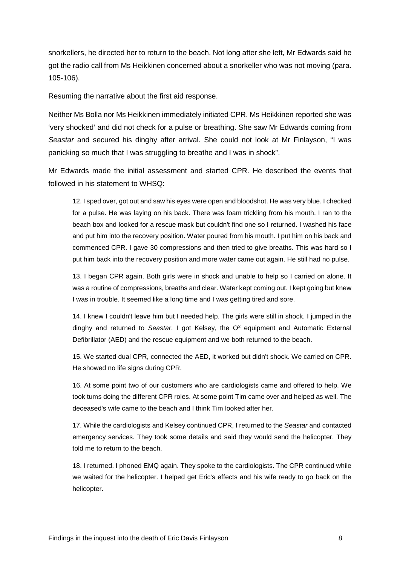snorkellers, he directed her to return to the beach. Not long after she left, Mr Edwards said he got the radio call from Ms Heikkinen concerned about a snorkeller who was not moving (para. 105-106).

Resuming the narrative about the first aid response.

Neither Ms Bolla nor Ms Heikkinen immediately initiated CPR. Ms Heikkinen reported she was 'very shocked' and did not check for a pulse or breathing. She saw Mr Edwards coming from *Seastar* and secured his dinghy after arrival. She could not look at Mr Finlayson, "I was panicking so much that I was struggling to breathe and I was in shock".

Mr Edwards made the initial assessment and started CPR. He described the events that followed in his statement to WHSQ:

12. I sped over, got out and saw his eyes were open and bloodshot. He was very blue. I checked for a pulse. He was laying on his back. There was foam trickling from his mouth. I ran to the beach box and looked for a rescue mask but couldn't find one so I returned. I washed his face and put him into the recovery position. Water poured from his mouth. I put him on his back and commenced CPR. I gave 30 compressions and then tried to give breaths. This was hard so I put him back into the recovery position and more water came out again. He still had no pulse.

13. I began CPR again. Both girls were in shock and unable to help so I carried on alone. It was a routine of compressions, breaths and clear. Water kept coming out. I kept going but knew I was in trouble. It seemed like a long time and I was getting tired and sore.

14. I knew I couldn't leave him but I needed help. The girls were still in shock. I jumped in the dinghy and returned to *Seastar*. I got Kelsey, the O2 equipment and Automatic External Defibrillator (AED) and the rescue equipment and we both returned to the beach.

15. We started dual CPR, connected the AED, it worked but didn't shock. We carried on CPR. He showed no life signs during CPR.

16. At some point two of our customers who are cardiologists came and offered to help. We took tums doing the different CPR roles. At some point Tim came over and helped as well. The deceased's wife came to the beach and I think Tim looked after her.

17. While the cardiologists and Kelsey continued CPR, I returned to the *Seastar* and contacted emergency services. They took some details and said they would send the helicopter. They told me to return to the beach.

18. I returned. I phoned EMQ again. They spoke to the cardiologists. The CPR continued while we waited for the helicopter. I helped get Eric's effects and his wife ready to go back on the helicopter.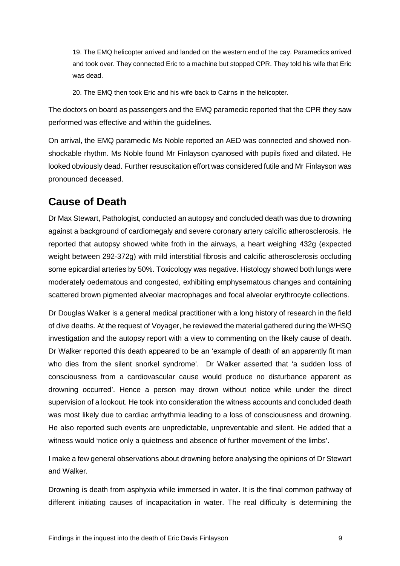19. The EMQ helicopter arrived and landed on the western end of the cay. Paramedics arrived and took over. They connected Eric to a machine but stopped CPR. They told his wife that Eric was dead.

20. The EMQ then took Eric and his wife back to Cairns in the helicopter.

The doctors on board as passengers and the EMQ paramedic reported that the CPR they saw performed was effective and within the guidelines.

On arrival, the EMQ paramedic Ms Noble reported an AED was connected and showed nonshockable rhythm. Ms Noble found Mr Finlayson cyanosed with pupils fixed and dilated. He looked obviously dead. Further resuscitation effort was considered futile and Mr Finlayson was pronounced deceased.

## <span id="page-9-0"></span>**Cause of Death**

Dr Max Stewart, Pathologist, conducted an autopsy and concluded death was due to drowning against a background of cardiomegaly and severe coronary artery calcific atherosclerosis. He reported that autopsy showed white froth in the airways, a heart weighing 432g (expected weight between 292-372g) with mild interstitial fibrosis and calcific atherosclerosis occluding some epicardial arteries by 50%. Toxicology was negative. Histology showed both lungs were moderately oedematous and congested, exhibiting emphysematous changes and containing scattered brown pigmented alveolar macrophages and focal alveolar erythrocyte collections.

Dr Douglas Walker is a general medical practitioner with a long history of research in the field of dive deaths. At the request of Voyager, he reviewed the material gathered during the WHSQ investigation and the autopsy report with a view to commenting on the likely cause of death. Dr Walker reported this death appeared to be an 'example of death of an apparently fit man who dies from the silent snorkel syndrome'. Dr Walker asserted that 'a sudden loss of consciousness from a cardiovascular cause would produce no disturbance apparent as drowning occurred'. Hence a person may drown without notice while under the direct supervision of a lookout. He took into consideration the witness accounts and concluded death was most likely due to cardiac arrhythmia leading to a loss of consciousness and drowning. He also reported such events are unpredictable, unpreventable and silent. He added that a witness would 'notice only a quietness and absence of further movement of the limbs'.

I make a few general observations about drowning before analysing the opinions of Dr Stewart and Walker.

Drowning is death from asphyxia while immersed in water. It is the final common pathway of different initiating causes of incapacitation in water. The real difficulty is determining the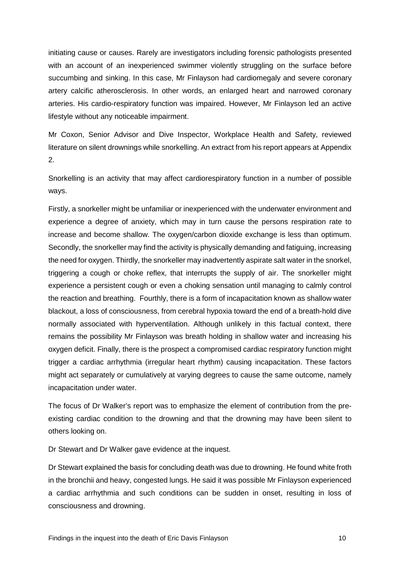initiating cause or causes. Rarely are investigators including forensic pathologists presented with an account of an inexperienced swimmer violently struggling on the surface before succumbing and sinking. In this case, Mr Finlayson had cardiomegaly and severe coronary artery calcific atherosclerosis. In other words, an enlarged heart and narrowed coronary arteries. His cardio-respiratory function was impaired. However, Mr Finlayson led an active lifestyle without any noticeable impairment.

Mr Coxon, Senior Advisor and Dive Inspector, Workplace Health and Safety, reviewed literature on silent drownings while snorkelling. An extract from his report appears at Appendix 2.

Snorkelling is an activity that may affect cardiorespiratory function in a number of possible ways.

Firstly, a snorkeller might be unfamiliar or inexperienced with the underwater environment and experience a degree of anxiety, which may in turn cause the persons respiration rate to increase and become shallow. The oxygen/carbon dioxide exchange is less than optimum. Secondly, the snorkeller may find the activity is physically demanding and fatiguing, increasing the need for oxygen. Thirdly, the snorkeller may inadvertently aspirate salt water in the snorkel, triggering a cough or choke reflex, that interrupts the supply of air. The snorkeller might experience a persistent cough or even a choking sensation until managing to calmly control the reaction and breathing. Fourthly, there is a form of incapacitation known as shallow water blackout, a loss of consciousness, from cerebral hypoxia toward the end of a breath-hold dive normally associated with hyperventilation. Although unlikely in this factual context, there remains the possibility Mr Finlayson was breath holding in shallow water and increasing his oxygen deficit. Finally, there is the prospect a compromised cardiac respiratory function might trigger a cardiac arrhythmia (irregular heart rhythm) causing incapacitation. These factors might act separately or cumulatively at varying degrees to cause the same outcome, namely incapacitation under water.

The focus of Dr Walker's report was to emphasize the element of contribution from the preexisting cardiac condition to the drowning and that the drowning may have been silent to others looking on.

Dr Stewart and Dr Walker gave evidence at the inquest.

Dr Stewart explained the basis for concluding death was due to drowning. He found white froth in the bronchii and heavy, congested lungs. He said it was possible Mr Finlayson experienced a cardiac arrhythmia and such conditions can be sudden in onset, resulting in loss of consciousness and drowning.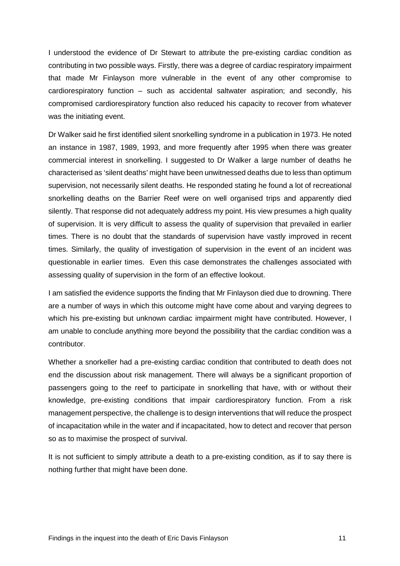I understood the evidence of Dr Stewart to attribute the pre-existing cardiac condition as contributing in two possible ways. Firstly, there was a degree of cardiac respiratory impairment that made Mr Finlayson more vulnerable in the event of any other compromise to cardiorespiratory function – such as accidental saltwater aspiration; and secondly, his compromised cardiorespiratory function also reduced his capacity to recover from whatever was the initiating event.

Dr Walker said he first identified silent snorkelling syndrome in a publication in 1973. He noted an instance in 1987, 1989, 1993, and more frequently after 1995 when there was greater commercial interest in snorkelling. I suggested to Dr Walker a large number of deaths he characterised as 'silent deaths' might have been unwitnessed deaths due to less than optimum supervision, not necessarily silent deaths. He responded stating he found a lot of recreational snorkelling deaths on the Barrier Reef were on well organised trips and apparently died silently. That response did not adequately address my point. His view presumes a high quality of supervision. It is very difficult to assess the quality of supervision that prevailed in earlier times. There is no doubt that the standards of supervision have vastly improved in recent times. Similarly, the quality of investigation of supervision in the event of an incident was questionable in earlier times. Even this case demonstrates the challenges associated with assessing quality of supervision in the form of an effective lookout.

I am satisfied the evidence supports the finding that Mr Finlayson died due to drowning. There are a number of ways in which this outcome might have come about and varying degrees to which his pre-existing but unknown cardiac impairment might have contributed. However, I am unable to conclude anything more beyond the possibility that the cardiac condition was a contributor.

Whether a snorkeller had a pre-existing cardiac condition that contributed to death does not end the discussion about risk management. There will always be a significant proportion of passengers going to the reef to participate in snorkelling that have, with or without their knowledge, pre-existing conditions that impair cardiorespiratory function. From a risk management perspective, the challenge is to design interventions that will reduce the prospect of incapacitation while in the water and if incapacitated, how to detect and recover that person so as to maximise the prospect of survival.

It is not sufficient to simply attribute a death to a pre-existing condition, as if to say there is nothing further that might have been done.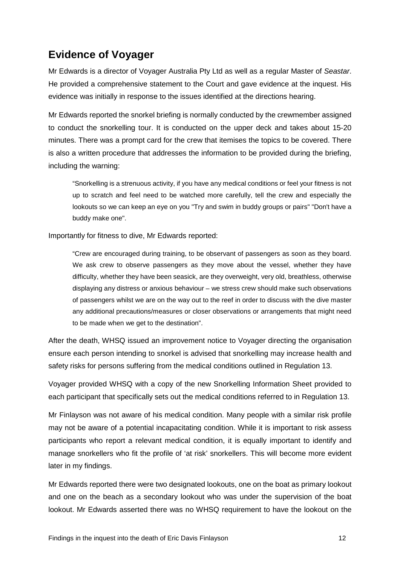# <span id="page-12-0"></span>**Evidence of Voyager**

Mr Edwards is a director of Voyager Australia Pty Ltd as well as a regular Master of *Seastar*. He provided a comprehensive statement to the Court and gave evidence at the inquest. His evidence was initially in response to the issues identified at the directions hearing.

Mr Edwards reported the snorkel briefing is normally conducted by the crewmember assigned to conduct the snorkelling tour. It is conducted on the upper deck and takes about 15-20 minutes. There was a prompt card for the crew that itemises the topics to be covered. There is also a written procedure that addresses the information to be provided during the briefing, including the warning:

"Snorkelling is a strenuous activity, if you have any medical conditions or feel your fitness is not up to scratch and feel need to be watched more carefully, tell the crew and especially the lookouts so we can keep an eye on you "Try and swim in buddy groups or pairs" "Don't have a buddy make one".

Importantly for fitness to dive, Mr Edwards reported:

"Crew are encouraged during training, to be observant of passengers as soon as they board. We ask crew to observe passengers as they move about the vessel, whether they have difficulty, whether they have been seasick, are they overweight, very old, breathless, otherwise displaying any distress or anxious behaviour – we stress crew should make such observations of passengers whilst we are on the way out to the reef in order to discuss with the dive master any additional precautions/measures or closer observations or arrangements that might need to be made when we get to the destination".

After the death, WHSQ issued an improvement notice to Voyager directing the organisation ensure each person intending to snorkel is advised that snorkelling may increase health and safety risks for persons suffering from the medical conditions outlined in Regulation 13.

Voyager provided WHSQ with a copy of the new Snorkelling Information Sheet provided to each participant that specifically sets out the medical conditions referred to in Regulation 13.

Mr Finlayson was not aware of his medical condition. Many people with a similar risk profile may not be aware of a potential incapacitating condition. While it is important to risk assess participants who report a relevant medical condition, it is equally important to identify and manage snorkellers who fit the profile of 'at risk' snorkellers. This will become more evident later in my findings.

Mr Edwards reported there were two designated lookouts, one on the boat as primary lookout and one on the beach as a secondary lookout who was under the supervision of the boat lookout. Mr Edwards asserted there was no WHSQ requirement to have the lookout on the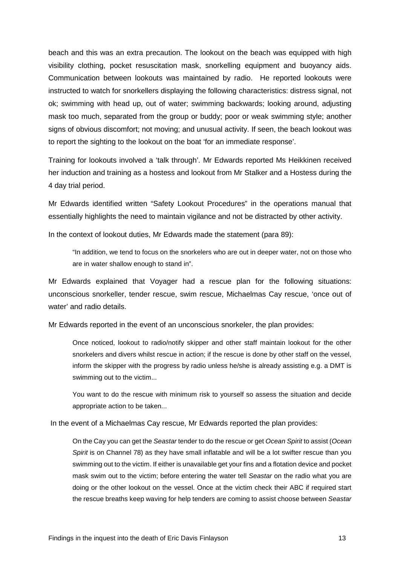beach and this was an extra precaution. The lookout on the beach was equipped with high visibility clothing, pocket resuscitation mask, snorkelling equipment and buoyancy aids. Communication between lookouts was maintained by radio. He reported lookouts were instructed to watch for snorkellers displaying the following characteristics: distress signal, not ok; swimming with head up, out of water; swimming backwards; looking around, adjusting mask too much, separated from the group or buddy; poor or weak swimming style; another signs of obvious discomfort; not moving; and unusual activity. If seen, the beach lookout was to report the sighting to the lookout on the boat 'for an immediate response'.

Training for lookouts involved a 'talk through'. Mr Edwards reported Ms Heikkinen received her induction and training as a hostess and lookout from Mr Stalker and a Hostess during the 4 day trial period.

Mr Edwards identified written "Safety Lookout Procedures" in the operations manual that essentially highlights the need to maintain vigilance and not be distracted by other activity.

In the context of lookout duties, Mr Edwards made the statement (para 89):

"In addition, we tend to focus on the snorkelers who are out in deeper water, not on those who are in water shallow enough to stand in".

Mr Edwards explained that Voyager had a rescue plan for the following situations: unconscious snorkeller, tender rescue, swim rescue, Michaelmas Cay rescue, 'once out of water' and radio details.

Mr Edwards reported in the event of an unconscious snorkeler, the plan provides:

Once noticed, lookout to radio/notify skipper and other staff maintain lookout for the other snorkelers and divers whilst rescue in action; if the rescue is done by other staff on the vessel, inform the skipper with the progress by radio unless he/she is already assisting e.g. a DMT is swimming out to the victim...

You want to do the rescue with minimum risk to yourself so assess the situation and decide appropriate action to be taken...

In the event of a Michaelmas Cay rescue, Mr Edwards reported the plan provides:

On the Cay you can get the *Seastar* tender to do the rescue or get *Ocean Spirit* to assist (*Ocean Spirit* is on Channel 78) as they have small inflatable and will be a lot swifter rescue than you swimming out to the victim. If either is unavailable get your fins and a flotation device and pocket mask swim out to the victim; before entering the water tell *Seastar* on the radio what you are doing or the other lookout on the vessel. Once at the victim check their ABC if required start the rescue breaths keep waving for help tenders are coming to assist choose between *Seastar*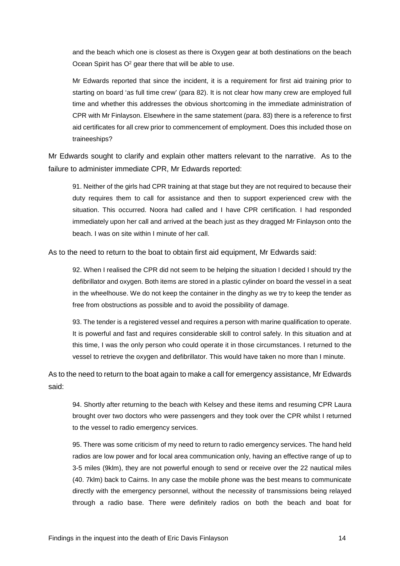and the beach which one is closest as there is Oxygen gear at both destinations on the beach Ocean Spirit has O<sup>2</sup> gear there that will be able to use.

Mr Edwards reported that since the incident, it is a requirement for first aid training prior to starting on board 'as full time crew' (para 82). It is not clear how many crew are employed full time and whether this addresses the obvious shortcoming in the immediate administration of CPR with Mr Finlayson. Elsewhere in the same statement (para. 83) there is a reference to first aid certificates for all crew prior to commencement of employment. Does this included those on traineeships?

Mr Edwards sought to clarify and explain other matters relevant to the narrative. As to the failure to administer immediate CPR, Mr Edwards reported:

91. Neither of the girls had CPR training at that stage but they are not required to because their duty requires them to call for assistance and then to support experienced crew with the situation. This occurred. Noora had called and I have CPR certification. I had responded immediately upon her call and arrived at the beach just as they dragged Mr Finlayson onto the beach. I was on site within I minute of her call.

As to the need to return to the boat to obtain first aid equipment, Mr Edwards said:

92. When I realised the CPR did not seem to be helping the situation I decided I should try the defibrillator and oxygen. Both items are stored in a plastic cylinder on board the vessel in a seat in the wheelhouse. We do not keep the container in the dinghy as we try to keep the tender as free from obstructions as possible and to avoid the possibility of damage.

93. The tender is a registered vessel and requires a person with marine qualification to operate. It is powerful and fast and requires considerable skill to control safely. In this situation and at this time, I was the only person who could operate it in those circumstances. I returned to the vessel to retrieve the oxygen and defibrillator. This would have taken no more than I minute.

As to the need to return to the boat again to make a call for emergency assistance, Mr Edwards said:

94. Shortly after returning to the beach with Kelsey and these items and resuming CPR Laura brought over two doctors who were passengers and they took over the CPR whilst I returned to the vessel to radio emergency services.

95. There was some criticism of my need to return to radio emergency services. The hand held radios are low power and for local area communication only, having an effective range of up to 3-5 miles (9klm), they are not powerful enough to send or receive over the 22 nautical miles (40. 7klm) back to Cairns. In any case the mobile phone was the best means to communicate directly with the emergency personnel, without the necessity of transmissions being relayed through a radio base. There were definitely radios on both the beach and boat for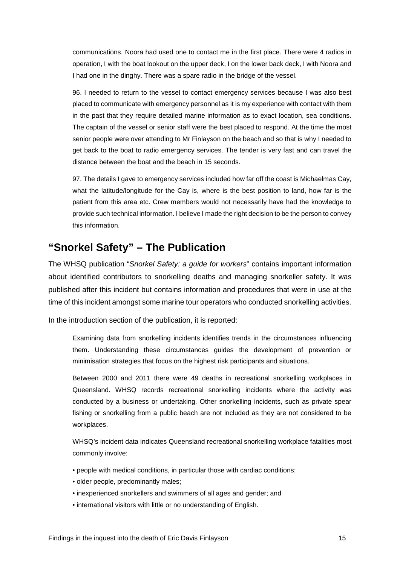communications. Noora had used one to contact me in the first place. There were 4 radios in operation, I with the boat lookout on the upper deck, I on the lower back deck, I with Noora and I had one in the dinghy. There was a spare radio in the bridge of the vessel.

96. I needed to return to the vessel to contact emergency services because I was also best placed to communicate with emergency personnel as it is my experience with contact with them in the past that they require detailed marine information as to exact location, sea conditions. The captain of the vessel or senior staff were the best placed to respond. At the time the most senior people were over attending to Mr Finlayson on the beach and so that is why I needed to get back to the boat to radio emergency services. The tender is very fast and can travel the distance between the boat and the beach in 15 seconds.

97. The details I gave to emergency services included how far off the coast is Michaelmas Cay, what the latitude/longitude for the Cay is, where is the best position to land, how far is the patient from this area etc. Crew members would not necessarily have had the knowledge to provide such technical information. I believe I made the right decision to be the person to convey this information.

## <span id="page-15-0"></span>**"Snorkel Safety" – The Publication**

The WHSQ publication "*Snorkel Safety: a guide for workers*" contains important information about identified contributors to snorkelling deaths and managing snorkeller safety. It was published after this incident but contains information and procedures that were in use at the time of this incident amongst some marine tour operators who conducted snorkelling activities.

In the introduction section of the publication, it is reported:

Examining data from snorkelling incidents identifies trends in the circumstances influencing them. Understanding these circumstances guides the development of prevention or minimisation strategies that focus on the highest risk participants and situations.

Between 2000 and 2011 there were 49 deaths in recreational snorkelling workplaces in Queensland. WHSQ records recreational snorkelling incidents where the activity was conducted by a business or undertaking. Other snorkelling incidents, such as private spear fishing or snorkelling from a public beach are not included as they are not considered to be workplaces.

WHSQ's incident data indicates Queensland recreational snorkelling workplace fatalities most commonly involve:

- people with medical conditions, in particular those with cardiac conditions;
- older people, predominantly males;
- inexperienced snorkellers and swimmers of all ages and gender; and
- international visitors with little or no understanding of English.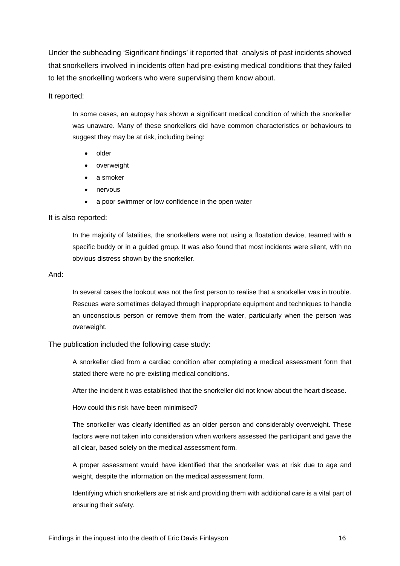Under the subheading 'Significant findings' it reported that analysis of past incidents showed that snorkellers involved in incidents often had pre-existing medical conditions that they failed to let the snorkelling workers who were supervising them know about.

#### It reported:

In some cases, an autopsy has shown a significant medical condition of which the snorkeller was unaware. Many of these snorkellers did have common characteristics or behaviours to suggest they may be at risk, including being:

- older
- overweight
- a smoker
- nervous
- a poor swimmer or low confidence in the open water

#### It is also reported:

In the majority of fatalities, the snorkellers were not using a floatation device, teamed with a specific buddy or in a guided group. It was also found that most incidents were silent, with no obvious distress shown by the snorkeller.

#### And:

In several cases the lookout was not the first person to realise that a snorkeller was in trouble. Rescues were sometimes delayed through inappropriate equipment and techniques to handle an unconscious person or remove them from the water, particularly when the person was overweight.

The publication included the following case study:

A snorkeller died from a cardiac condition after completing a medical assessment form that stated there were no pre-existing medical conditions.

After the incident it was established that the snorkeller did not know about the heart disease.

How could this risk have been minimised?

The snorkeller was clearly identified as an older person and considerably overweight. These factors were not taken into consideration when workers assessed the participant and gave the all clear, based solely on the medical assessment form.

A proper assessment would have identified that the snorkeller was at risk due to age and weight, despite the information on the medical assessment form.

Identifying which snorkellers are at risk and providing them with additional care is a vital part of ensuring their safety.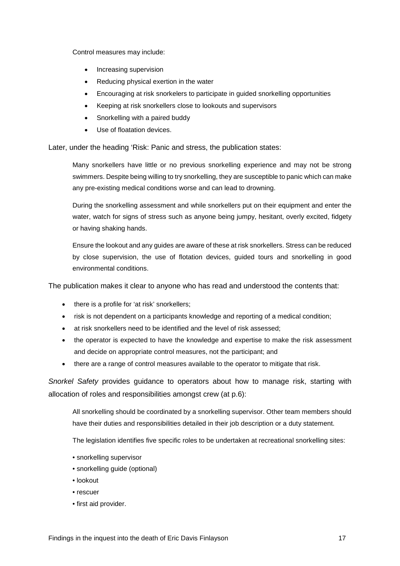Control measures may include:

- Increasing supervision
- Reducing physical exertion in the water
- Encouraging at risk snorkelers to participate in guided snorkelling opportunities
- Keeping at risk snorkellers close to lookouts and supervisors
- Snorkelling with a paired buddy
- Use of floatation devices.

Later, under the heading 'Risk: Panic and stress, the publication states:

Many snorkellers have little or no previous snorkelling experience and may not be strong swimmers. Despite being willing to try snorkelling, they are susceptible to panic which can make any pre-existing medical conditions worse and can lead to drowning.

During the snorkelling assessment and while snorkellers put on their equipment and enter the water, watch for signs of stress such as anyone being jumpy, hesitant, overly excited, fidgety or having shaking hands.

Ensure the lookout and any guides are aware of these at risk snorkellers. Stress can be reduced by close supervision, the use of flotation devices, guided tours and snorkelling in good environmental conditions.

The publication makes it clear to anyone who has read and understood the contents that:

- there is a profile for 'at risk' snorkellers;
- risk is not dependent on a participants knowledge and reporting of a medical condition;
- at risk snorkellers need to be identified and the level of risk assessed;
- the operator is expected to have the knowledge and expertise to make the risk assessment and decide on appropriate control measures, not the participant; and
- there are a range of control measures available to the operator to mitigate that risk.

*Snorkel Safety* provides guidance to operators about how to manage risk, starting with allocation of roles and responsibilities amongst crew (at p.6):

All snorkelling should be coordinated by a snorkelling supervisor. Other team members should have their duties and responsibilities detailed in their job description or a duty statement.

The legislation identifies five specific roles to be undertaken at recreational snorkelling sites:

- snorkelling supervisor
- snorkelling guide (optional)
- lookout
- rescuer
- first aid provider.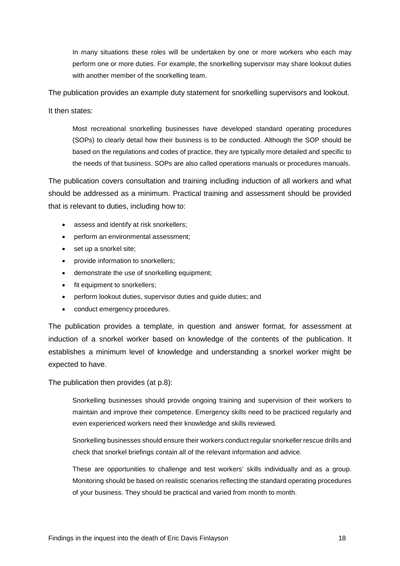In many situations these roles will be undertaken by one or more workers who each may perform one or more duties. For example, the snorkelling supervisor may share lookout duties with another member of the snorkelling team.

The publication provides an example duty statement for snorkelling supervisors and lookout.

It then states:

Most recreational snorkelling businesses have developed standard operating procedures (SOPs) to clearly detail how their business is to be conducted. Although the SOP should be based on the regulations and codes of practice, they are typically more detailed and specific to the needs of that business. SOPs are also called operations manuals or procedures manuals.

The publication covers consultation and training including induction of all workers and what should be addressed as a minimum. Practical training and assessment should be provided that is relevant to duties, including how to:

- assess and identify at risk snorkellers;
- perform an environmental assessment;
- set up a snorkel site;
- provide information to snorkellers;
- demonstrate the use of snorkelling equipment;
- fit equipment to snorkellers;
- perform lookout duties, supervisor duties and guide duties; and
- conduct emergency procedures.

The publication provides a template, in question and answer format, for assessment at induction of a snorkel worker based on knowledge of the contents of the publication. It establishes a minimum level of knowledge and understanding a snorkel worker might be expected to have.

The publication then provides (at p.8):

Snorkelling businesses should provide ongoing training and supervision of their workers to maintain and improve their competence. Emergency skills need to be practiced regularly and even experienced workers need their knowledge and skills reviewed.

Snorkelling businesses should ensure their workers conduct regular snorkeller rescue drills and check that snorkel briefings contain all of the relevant information and advice.

These are opportunities to challenge and test workers' skills individually and as a group. Monitoring should be based on realistic scenarios reflecting the standard operating procedures of your business. They should be practical and varied from month to month.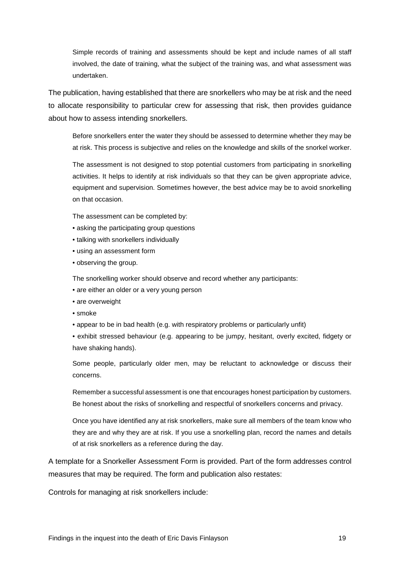Simple records of training and assessments should be kept and include names of all staff involved, the date of training, what the subject of the training was, and what assessment was undertaken.

The publication, having established that there are snorkellers who may be at risk and the need to allocate responsibility to particular crew for assessing that risk, then provides guidance about how to assess intending snorkellers.

Before snorkellers enter the water they should be assessed to determine whether they may be at risk. This process is subjective and relies on the knowledge and skills of the snorkel worker.

The assessment is not designed to stop potential customers from participating in snorkelling activities. It helps to identify at risk individuals so that they can be given appropriate advice, equipment and supervision. Sometimes however, the best advice may be to avoid snorkelling on that occasion.

The assessment can be completed by:

- asking the participating group questions
- talking with snorkellers individually
- using an assessment form
- observing the group.

The snorkelling worker should observe and record whether any participants:

- are either an older or a very young person
- are overweight
- smoke
- appear to be in bad health (e.g. with respiratory problems or particularly unfit)

• exhibit stressed behaviour (e.g. appearing to be jumpy, hesitant, overly excited, fidgety or have shaking hands).

Some people, particularly older men, may be reluctant to acknowledge or discuss their concerns.

Remember a successful assessment is one that encourages honest participation by customers. Be honest about the risks of snorkelling and respectful of snorkellers concerns and privacy.

Once you have identified any at risk snorkellers, make sure all members of the team know who they are and why they are at risk. If you use a snorkelling plan, record the names and details of at risk snorkellers as a reference during the day.

A template for a Snorkeller Assessment Form is provided. Part of the form addresses control measures that may be required. The form and publication also restates:

Controls for managing at risk snorkellers include: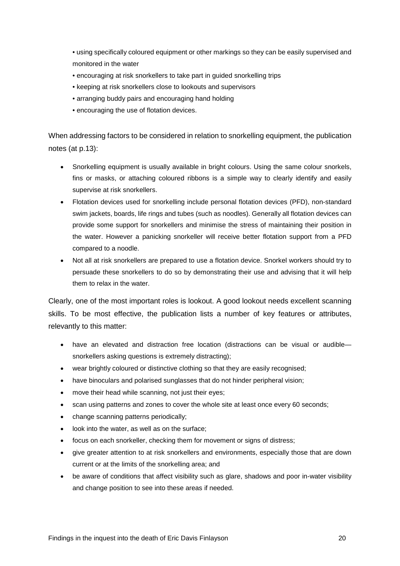• using specifically coloured equipment or other markings so they can be easily supervised and monitored in the water

- encouraging at risk snorkellers to take part in guided snorkelling trips
- keeping at risk snorkellers close to lookouts and supervisors
- arranging buddy pairs and encouraging hand holding
- encouraging the use of flotation devices.

When addressing factors to be considered in relation to snorkelling equipment, the publication notes (at p.13):

- Snorkelling equipment is usually available in bright colours. Using the same colour snorkels, fins or masks, or attaching coloured ribbons is a simple way to clearly identify and easily supervise at risk snorkellers.
- Flotation devices used for snorkelling include personal flotation devices (PFD), non-standard swim jackets, boards, life rings and tubes (such as noodles). Generally all flotation devices can provide some support for snorkellers and minimise the stress of maintaining their position in the water. However a panicking snorkeller will receive better flotation support from a PFD compared to a noodle.
- Not all at risk snorkellers are prepared to use a flotation device. Snorkel workers should try to persuade these snorkellers to do so by demonstrating their use and advising that it will help them to relax in the water.

Clearly, one of the most important roles is lookout. A good lookout needs excellent scanning skills. To be most effective, the publication lists a number of key features or attributes, relevantly to this matter:

- have an elevated and distraction free location (distractions can be visual or audiblesnorkellers asking questions is extremely distracting);
- wear brightly coloured or distinctive clothing so that they are easily recognised;
- have binoculars and polarised sunglasses that do not hinder peripheral vision;
- move their head while scanning, not just their eyes;
- scan using patterns and zones to cover the whole site at least once every 60 seconds;
- change scanning patterns periodically;
- look into the water, as well as on the surface;
- focus on each snorkeller, checking them for movement or signs of distress;
- give greater attention to at risk snorkellers and environments, especially those that are down current or at the limits of the snorkelling area; and
- be aware of conditions that affect visibility such as glare, shadows and poor in-water visibility and change position to see into these areas if needed.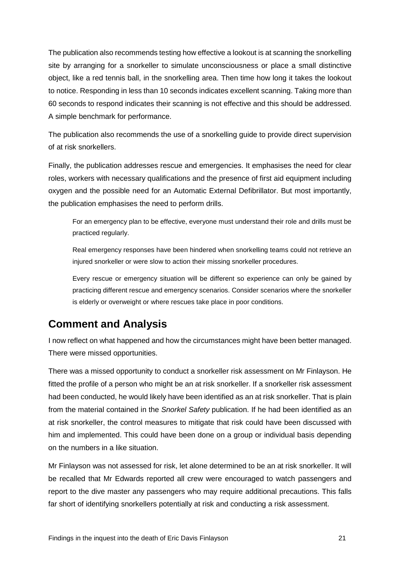The publication also recommends testing how effective a lookout is at scanning the snorkelling site by arranging for a snorkeller to simulate unconsciousness or place a small distinctive object, like a red tennis ball, in the snorkelling area. Then time how long it takes the lookout to notice. Responding in less than 10 seconds indicates excellent scanning. Taking more than 60 seconds to respond indicates their scanning is not effective and this should be addressed. A simple benchmark for performance.

The publication also recommends the use of a snorkelling guide to provide direct supervision of at risk snorkellers.

Finally, the publication addresses rescue and emergencies. It emphasises the need for clear roles, workers with necessary qualifications and the presence of first aid equipment including oxygen and the possible need for an Automatic External Defibrillator. But most importantly, the publication emphasises the need to perform drills.

For an emergency plan to be effective, everyone must understand their role and drills must be practiced regularly.

Real emergency responses have been hindered when snorkelling teams could not retrieve an injured snorkeller or were slow to action their missing snorkeller procedures.

Every rescue or emergency situation will be different so experience can only be gained by practicing different rescue and emergency scenarios. Consider scenarios where the snorkeller is elderly or overweight or where rescues take place in poor conditions.

# <span id="page-21-0"></span>**Comment and Analysis**

I now reflect on what happened and how the circumstances might have been better managed. There were missed opportunities.

There was a missed opportunity to conduct a snorkeller risk assessment on Mr Finlayson. He fitted the profile of a person who might be an at risk snorkeller. If a snorkeller risk assessment had been conducted, he would likely have been identified as an at risk snorkeller. That is plain from the material contained in the *Snorkel Safety* publication. If he had been identified as an at risk snorkeller, the control measures to mitigate that risk could have been discussed with him and implemented. This could have been done on a group or individual basis depending on the numbers in a like situation.

Mr Finlayson was not assessed for risk, let alone determined to be an at risk snorkeller. It will be recalled that Mr Edwards reported all crew were encouraged to watch passengers and report to the dive master any passengers who may require additional precautions. This falls far short of identifying snorkellers potentially at risk and conducting a risk assessment.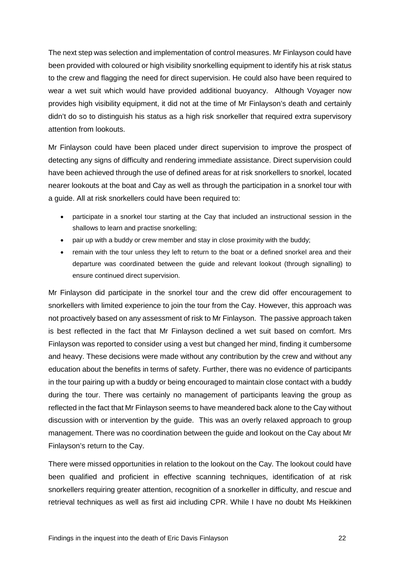The next step was selection and implementation of control measures. Mr Finlayson could have been provided with coloured or high visibility snorkelling equipment to identify his at risk status to the crew and flagging the need for direct supervision. He could also have been required to wear a wet suit which would have provided additional buoyancy. Although Voyager now provides high visibility equipment, it did not at the time of Mr Finlayson's death and certainly didn't do so to distinguish his status as a high risk snorkeller that required extra supervisory attention from lookouts.

Mr Finlayson could have been placed under direct supervision to improve the prospect of detecting any signs of difficulty and rendering immediate assistance. Direct supervision could have been achieved through the use of defined areas for at risk snorkellers to snorkel, located nearer lookouts at the boat and Cay as well as through the participation in a snorkel tour with a guide. All at risk snorkellers could have been required to:

- participate in a snorkel tour starting at the Cay that included an instructional session in the shallows to learn and practise snorkelling;
- pair up with a buddy or crew member and stay in close proximity with the buddy:
- remain with the tour unless they left to return to the boat or a defined snorkel area and their departure was coordinated between the guide and relevant lookout (through signalling) to ensure continued direct supervision.

Mr Finlayson did participate in the snorkel tour and the crew did offer encouragement to snorkellers with limited experience to join the tour from the Cay. However, this approach was not proactively based on any assessment of risk to Mr Finlayson. The passive approach taken is best reflected in the fact that Mr Finlayson declined a wet suit based on comfort. Mrs Finlayson was reported to consider using a vest but changed her mind, finding it cumbersome and heavy. These decisions were made without any contribution by the crew and without any education about the benefits in terms of safety. Further, there was no evidence of participants in the tour pairing up with a buddy or being encouraged to maintain close contact with a buddy during the tour. There was certainly no management of participants leaving the group as reflected in the fact that Mr Finlayson seems to have meandered back alone to the Cay without discussion with or intervention by the guide. This was an overly relaxed approach to group management. There was no coordination between the guide and lookout on the Cay about Mr Finlayson's return to the Cay.

There were missed opportunities in relation to the lookout on the Cay. The lookout could have been qualified and proficient in effective scanning techniques, identification of at risk snorkellers requiring greater attention, recognition of a snorkeller in difficulty, and rescue and retrieval techniques as well as first aid including CPR. While I have no doubt Ms Heikkinen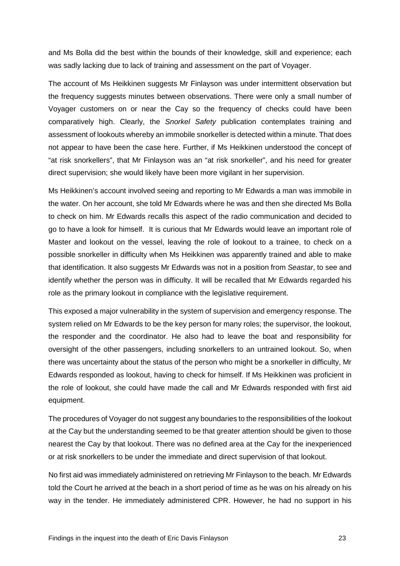and Ms Bolla did the best within the bounds of their knowledge, skill and experience; each was sadly lacking due to lack of training and assessment on the part of Voyager.

The account of Ms Heikkinen suggests Mr Finlayson was under intermittent observation but the frequency suggests minutes between observations. There were only a small number of Voyager customers on or near the Cay so the frequency of checks could have been comparatively high. Clearly, the *Snorkel Safety* publication contemplates training and assessment of lookouts whereby an immobile snorkeller is detected within a minute. That does not appear to have been the case here. Further, if Ms Heikkinen understood the concept of "at risk snorkellers", that Mr Finlayson was an "at risk snorkeller", and his need for greater direct supervision; she would likely have been more vigilant in her supervision.

Ms Heikkinen's account involved seeing and reporting to Mr Edwards a man was immobile in the water. On her account, she told Mr Edwards where he was and then she directed Ms Bolla to check on him. Mr Edwards recalls this aspect of the radio communication and decided to go to have a look for himself. It is curious that Mr Edwards would leave an important role of Master and lookout on the vessel, leaving the role of lookout to a trainee, to check on a possible snorkeller in difficulty when Ms Heikkinen was apparently trained and able to make that identification. It also suggests Mr Edwards was not in a position from *Seastar*, to see and identify whether the person was in difficulty. It will be recalled that Mr Edwards regarded his role as the primary lookout in compliance with the legislative requirement.

This exposed a major vulnerability in the system of supervision and emergency response. The system relied on Mr Edwards to be the key person for many roles; the supervisor, the lookout, the responder and the coordinator. He also had to leave the boat and responsibility for oversight of the other passengers, including snorkellers to an untrained lookout. So, when there was uncertainty about the status of the person who might be a snorkeller in difficulty, Mr Edwards responded as lookout, having to check for himself. If Ms Heikkinen was proficient in the role of lookout, she could have made the call and Mr Edwards responded with first aid equipment.

The procedures of Voyager do not suggest any boundaries to the responsibilities of the lookout at the Cay but the understanding seemed to be that greater attention should be given to those nearest the Cay by that lookout. There was no defined area at the Cay for the inexperienced or at risk snorkellers to be under the immediate and direct supervision of that lookout.

No first aid was immediately administered on retrieving Mr Finlayson to the beach. Mr Edwards told the Court he arrived at the beach in a short period of time as he was on his already on his way in the tender. He immediately administered CPR. However, he had no support in his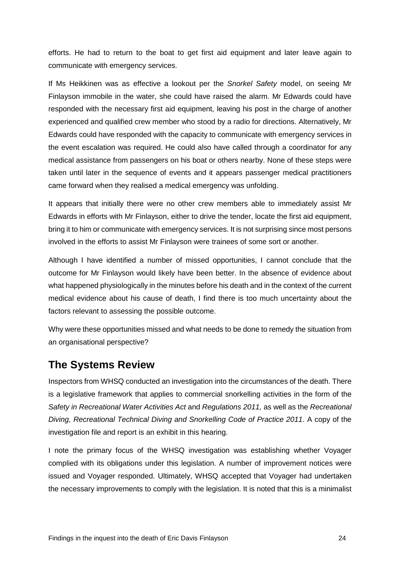efforts. He had to return to the boat to get first aid equipment and later leave again to communicate with emergency services.

If Ms Heikkinen was as effective a lookout per the *Snorkel Safety* model, on seeing Mr Finlayson immobile in the water, she could have raised the alarm. Mr Edwards could have responded with the necessary first aid equipment, leaving his post in the charge of another experienced and qualified crew member who stood by a radio for directions. Alternatively, Mr Edwards could have responded with the capacity to communicate with emergency services in the event escalation was required. He could also have called through a coordinator for any medical assistance from passengers on his boat or others nearby. None of these steps were taken until later in the sequence of events and it appears passenger medical practitioners came forward when they realised a medical emergency was unfolding.

It appears that initially there were no other crew members able to immediately assist Mr Edwards in efforts with Mr Finlayson, either to drive the tender, locate the first aid equipment, bring it to him or communicate with emergency services. It is not surprising since most persons involved in the efforts to assist Mr Finlayson were trainees of some sort or another.

Although I have identified a number of missed opportunities, I cannot conclude that the outcome for Mr Finlayson would likely have been better. In the absence of evidence about what happened physiologically in the minutes before his death and in the context of the current medical evidence about his cause of death, I find there is too much uncertainty about the factors relevant to assessing the possible outcome.

Why were these opportunities missed and what needs to be done to remedy the situation from an organisational perspective?

## <span id="page-24-0"></span>**The Systems Review**

Inspectors from WHSQ conducted an investigation into the circumstances of the death. There is a legislative framework that applies to commercial snorkelling activities in the form of the *Safety in Recreational Water Activities Act* and *Regulations 2011,* as well as the *Recreational Diving, Recreational Technical Diving and Snorkelling Code of Practice 2011*. A copy of the investigation file and report is an exhibit in this hearing.

I note the primary focus of the WHSQ investigation was establishing whether Voyager complied with its obligations under this legislation. A number of improvement notices were issued and Voyager responded. Ultimately, WHSQ accepted that Voyager had undertaken the necessary improvements to comply with the legislation. It is noted that this is a minimalist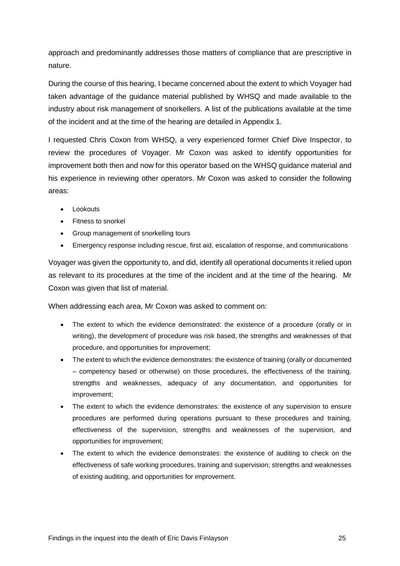approach and predominantly addresses those matters of compliance that are prescriptive in nature.

During the course of this hearing, I became concerned about the extent to which Voyager had taken advantage of the guidance material published by WHSQ and made available to the industry about risk management of snorkellers. A list of the publications available at the time of the incident and at the time of the hearing are detailed in Appendix 1.

I requested Chris Coxon from WHSQ, a very experienced former Chief Dive Inspector, to review the procedures of Voyager. Mr Coxon was asked to identify opportunities for improvement both then and now for this operator based on the WHSQ guidance material and his experience in reviewing other operators. Mr Coxon was asked to consider the following areas:

- Lookouts
- Fitness to snorkel
- Group management of snorkelling tours
- Emergency response including rescue, first aid, escalation of response, and communications

Voyager was given the opportunity to, and did, identify all operational documents it relied upon as relevant to its procedures at the time of the incident and at the time of the hearing. Mr Coxon was given that list of material.

When addressing each area, Mr Coxon was asked to comment on:

- The extent to which the evidence demonstrated: the existence of a procedure (orally or in writing), the development of procedure was risk based, the strengths and weaknesses of that procedure, and opportunities for improvement;
- The extent to which the evidence demonstrates: the existence of training (orally or documented – competency based or otherwise) on those procedures, the effectiveness of the training, strengths and weaknesses, adequacy of any documentation, and opportunities for improvement;
- The extent to which the evidence demonstrates: the existence of any supervision to ensure procedures are performed during operations pursuant to these procedures and training, effectiveness of the supervision, strengths and weaknesses of the supervision, and opportunities for improvement;
- The extent to which the evidence demonstrates: the existence of auditing to check on the effectiveness of safe working procedures, training and supervision; strengths and weaknesses of existing auditing, and opportunities for improvement.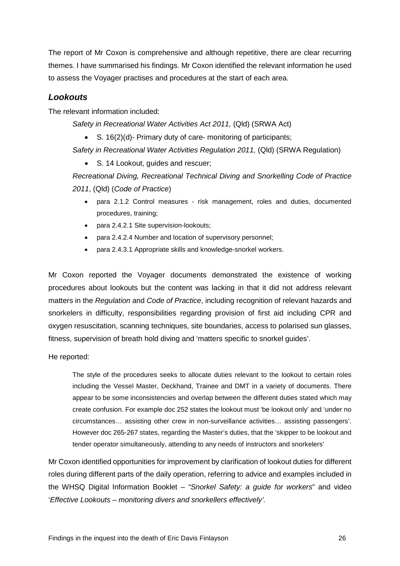The report of Mr Coxon is comprehensive and although repetitive, there are clear recurring themes. I have summarised his findings. Mr Coxon identified the relevant information he used to assess the Voyager practises and procedures at the start of each area.

### <span id="page-26-0"></span>*Lookouts*

The relevant information included:

*Safety in Recreational Water Activities Act 2011,* (Qld) (SRWA Act)

• S. 16(2)(d)- Primary duty of care- monitoring of participants;

Safety in Recreational Water Activities Regulation 2011, (Qld) (SRWA Regulation)

• S. 14 Lookout, guides and rescuer;

*Recreational Diving, Recreational Technical Diving and Snorkelling Code of Practice 2011*, (Qld) (*Code of Practice*)

- para 2.1.2 Control measures risk management, roles and duties, documented procedures, training;
- para 2.4.2.1 Site supervision-lookouts;
- para 2.4.2.4 Number and location of supervisory personnel;
- para 2.4.3.1 Appropriate skills and knowledge-snorkel workers.

Mr Coxon reported the Voyager documents demonstrated the existence of working procedures about lookouts but the content was lacking in that it did not address relevant matters in the *Regulation* and *Code of Practice*, including recognition of relevant hazards and snorkelers in difficulty, responsibilities regarding provision of first aid including CPR and oxygen resuscitation, scanning techniques, site boundaries, access to polarised sun glasses, fitness, supervision of breath hold diving and 'matters specific to snorkel guides'.

#### He reported:

The style of the procedures seeks to allocate duties relevant to the lookout to certain roles including the Vessel Master, Deckhand, Trainee and DMT in a variety of documents. There appear to be some inconsistencies and overlap between the different duties stated which may create confusion. For example doc 252 states the lookout must 'be lookout only' and 'under no circumstances… assisting other crew in non-surveillance activities… assisting passengers'. However doc 265-267 states, regarding the Master's duties, that the 'skipper to be lookout and tender operator simultaneously, attending to any needs of instructors and snorkelers'

Mr Coxon identified opportunities for improvement by clarification of lookout duties for different roles during different parts of the daily operation, referring to advice and examples included in the WHSQ Digital Information Booklet – *"Snorkel Safety: a guide for workers*" and video '*Effective Lookouts – monitoring divers and snorkellers effectively'.*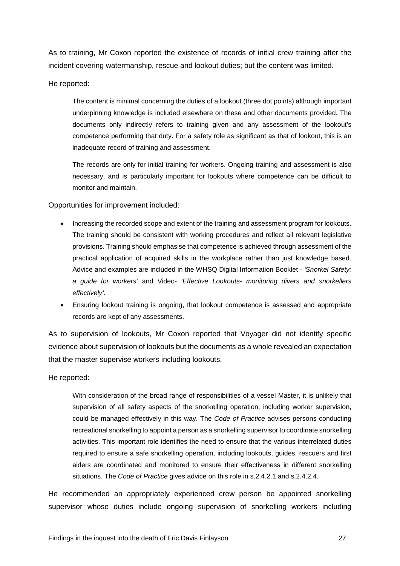As to training, Mr Coxon reported the existence of records of initial crew training after the incident covering watermanship, rescue and lookout duties; but the content was limited.

#### He reported:

The content is minimal concerning the duties of a lookout (three dot points) although important underpinning knowledge is included elsewhere on these and other documents provided. The documents only indirectly refers to training given and any assessment of the lookout's competence performing that duty. For a safety role as significant as that of lookout, this is an inadequate record of training and assessment.

The records are only for initial training for workers. Ongoing training and assessment is also necessary, and is particularly important for lookouts where competence can be difficult to monitor and maintain.

#### Opportunities for improvement included:

- Increasing the recorded scope and extent of the training and assessment program for lookouts. The training should be consistent with working procedures and reflect all relevant legislative provisions. Training should emphasise that competence is achieved through assessment of the practical application of acquired skills in the workplace rather than just knowledge based. Advice and examples are included in the WHSQ Digital Information Booklet - *'Snorkel Safety: a guide for workers'* and Video- *'Effective Lookouts- monitoring divers and snorkellers effectively'.*
- Ensuring lookout training is ongoing, that lookout competence is assessed and appropriate records are kept of any assessments.

As to supervision of lookouts, Mr Coxon reported that Voyager did not identify specific evidence about supervision of lookouts but the documents as a whole revealed an expectation that the master supervise workers including lookouts.

He reported:

With consideration of the broad range of responsibilities of a vessel Master, it is unlikely that supervision of all safety aspects of the snorkelling operation, including worker supervision, could be managed effectively in this way. The *Code of Practice* advises persons conducting recreational snorkelling to appoint a person as a snorkelling supervisor to coordinate snorkelling activities. This important role identifies the need to ensure that the various interrelated duties required to ensure a safe snorkelling operation, including lookouts, guides, rescuers and first aiders are coordinated and monitored to ensure their effectiveness in different snorkelling situations. The *Code of Practice* gives advice on this role in s.2.4.2.1 and s.2.4.2.4.

He recommended an appropriately experienced crew person be appointed snorkelling supervisor whose duties include ongoing supervision of snorkelling workers including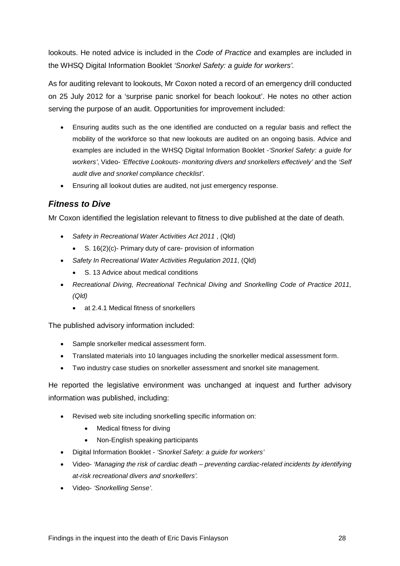lookouts. He noted advice is included in the *Code of Practice* and examples are included in the WHSQ Digital Information Booklet *'Snorkel Safety: a guide for workers'.*

As for auditing relevant to lookouts, Mr Coxon noted a record of an emergency drill conducted on 25 July 2012 for a 'surprise panic snorkel for beach lookout'. He notes no other action serving the purpose of an audit. Opportunities for improvement included:

- Ensuring audits such as the one identified are conducted on a regular basis and reflect the mobility of the workforce so that new lookouts are audited on an ongoing basis. Advice and examples are included in the WHSQ Digital Information Booklet -*'Snorkel Safety: a guide for workers'*, Video- *'Effective Lookouts- monitoring divers and snorkellers effectively'* and the *'Self audit dive and snorkel compliance checklist'*.
- Ensuring all lookout duties are audited, not just emergency response.

### <span id="page-28-0"></span>*Fitness to Dive*

Mr Coxon identified the legislation relevant to fitness to dive published at the date of death.

- *Safety in Recreational Water Activities Act 2011* , (Qld)
	- S. 16(2)(c)- Primary duty of care- provision of information
- *Safety In Recreational Water Activities Regulation 2011*, (Qld)
	- S. 13 Advice about medical conditions
- *Recreational Diving, Recreational Technical Diving and Snorkelling Code of Practice 2011, (Qld)*
	- at 2.4.1 Medical fitness of snorkellers

The published advisory information included:

- Sample snorkeller medical assessment form.
- Translated materials into 10 languages including the snorkeller medical assessment form.
- Two industry case studies on snorkeller assessment and snorkel site management.

He reported the legislative environment was unchanged at inquest and further advisory information was published, including:

- Revised web site including snorkelling specific information on:
	- Medical fitness for diving
	- Non-English speaking participants
- Digital Information Booklet *'Snorkel Safety: a guide for workers'*
- Video- *'Managing the risk of cardiac death – preventing cardiac-related incidents by identifying at-risk recreational divers and snorkellers'.*
- Video- *'Snorkelling Sense'*.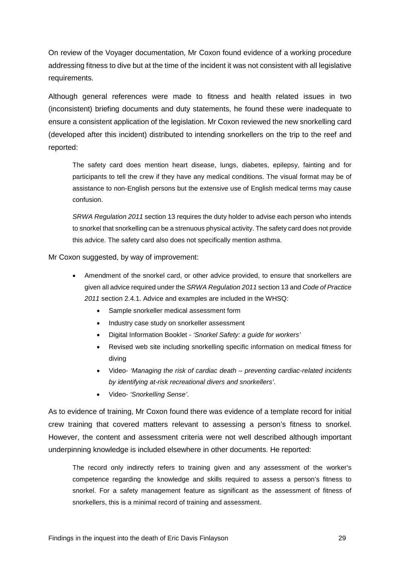On review of the Voyager documentation, Mr Coxon found evidence of a working procedure addressing fitness to dive but at the time of the incident it was not consistent with all legislative requirements.

Although general references were made to fitness and health related issues in two (inconsistent) briefing documents and duty statements, he found these were inadequate to ensure a consistent application of the legislation. Mr Coxon reviewed the new snorkelling card (developed after this incident) distributed to intending snorkellers on the trip to the reef and reported:

The safety card does mention heart disease, lungs, diabetes, epilepsy, fainting and for participants to tell the crew if they have any medical conditions. The visual format may be of assistance to non-English persons but the extensive use of English medical terms may cause confusion.

*SRWA Regulation 2011* section 13 requires the duty holder to advise each person who intends to snorkel that snorkelling can be a strenuous physical activity. The safety card does not provide this advice. The safety card also does not specifically mention asthma.

Mr Coxon suggested, by way of improvement:

- Amendment of the snorkel card, or other advice provided, to ensure that snorkellers are given all advice required under the *SRWA Regulation 2011* section 13 and *Code of Practice 2011* section 2.4.1. Advice and examples are included in the WHSQ:
	- Sample snorkeller medical assessment form
	- Industry case study on snorkeller assessment
	- Digital Information Booklet *'Snorkel Safety: a guide for workers'*
	- Revised web site including snorkelling specific information on medical fitness for diving
	- Video- *'Managing the risk of cardiac death – preventing cardiac-related incidents by identifying at-risk recreational divers and snorkellers'*.
	- Video- *'Snorkelling Sense'*.

As to evidence of training, Mr Coxon found there was evidence of a template record for initial crew training that covered matters relevant to assessing a person's fitness to snorkel. However, the content and assessment criteria were not well described although important underpinning knowledge is included elsewhere in other documents. He reported:

The record only indirectly refers to training given and any assessment of the worker's competence regarding the knowledge and skills required to assess a person's fitness to snorkel. For a safety management feature as significant as the assessment of fitness of snorkellers, this is a minimal record of training and assessment.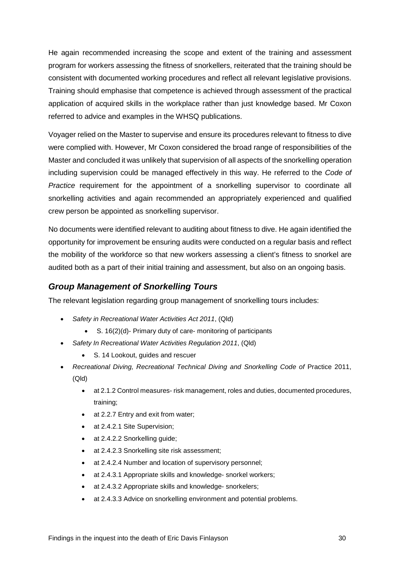He again recommended increasing the scope and extent of the training and assessment program for workers assessing the fitness of snorkellers, reiterated that the training should be consistent with documented working procedures and reflect all relevant legislative provisions. Training should emphasise that competence is achieved through assessment of the practical application of acquired skills in the workplace rather than just knowledge based. Mr Coxon referred to advice and examples in the WHSQ publications.

Voyager relied on the Master to supervise and ensure its procedures relevant to fitness to dive were complied with. However, Mr Coxon considered the broad range of responsibilities of the Master and concluded it was unlikely that supervision of all aspects of the snorkelling operation including supervision could be managed effectively in this way. He referred to the *Code of Practice* requirement for the appointment of a snorkelling supervisor to coordinate all snorkelling activities and again recommended an appropriately experienced and qualified crew person be appointed as snorkelling supervisor.

No documents were identified relevant to auditing about fitness to dive. He again identified the opportunity for improvement be ensuring audits were conducted on a regular basis and reflect the mobility of the workforce so that new workers assessing a client's fitness to snorkel are audited both as a part of their initial training and assessment, but also on an ongoing basis.

### <span id="page-30-0"></span>*Group Management of Snorkelling Tours*

The relevant legislation regarding group management of snorkelling tours includes:

- *Safety in Recreational Water Activities Act 2011*, (Qld)
	- S. 16(2)(d)- Primary duty of care- monitoring of participants
- *Safety In Recreational Water Activities Regulation 2011*, (Qld)
	- S. 14 Lookout, guides and rescuer
- Recreational Diving, Recreational Technical Diving and Snorkelling Code of Practice 2011, (Qld)
	- at 2.1.2 Control measures- risk management, roles and duties, documented procedures, training;
	- at 2.2.7 Entry and exit from water;
	- at 2.4.2.1 Site Supervision;
	- at 2.4.2.2 Snorkelling guide;
	- at 2.4.2.3 Snorkelling site risk assessment;
	- at 2.4.2.4 Number and location of supervisory personnel;
	- at 2.4.3.1 Appropriate skills and knowledge- snorkel workers;
	- at 2.4.3.2 Appropriate skills and knowledge- snorkelers;
	- at 2.4.3.3 Advice on snorkelling environment and potential problems.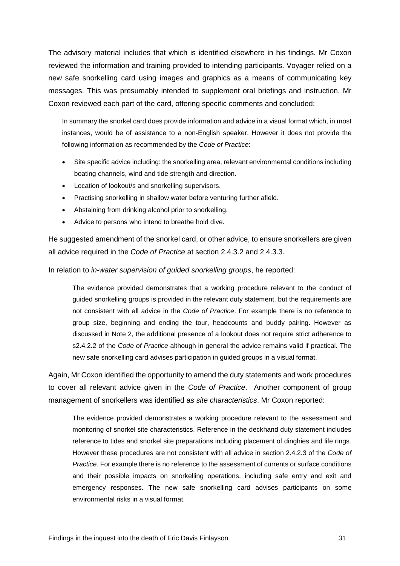The advisory material includes that which is identified elsewhere in his findings. Mr Coxon reviewed the information and training provided to intending participants. Voyager relied on a new safe snorkelling card using images and graphics as a means of communicating key messages. This was presumably intended to supplement oral briefings and instruction. Mr Coxon reviewed each part of the card, offering specific comments and concluded:

In summary the snorkel card does provide information and advice in a visual format which, in most instances, would be of assistance to a non-English speaker. However it does not provide the following information as recommended by the *Code of Practice*:

- Site specific advice including: the snorkelling area, relevant environmental conditions including boating channels, wind and tide strength and direction.
- Location of lookout/s and snorkelling supervisors.
- Practising snorkelling in shallow water before venturing further afield.
- Abstaining from drinking alcohol prior to snorkelling.
- Advice to persons who intend to breathe hold dive.

He suggested amendment of the snorkel card, or other advice, to ensure snorkellers are given all advice required in the *Code of Practice* at section 2.4.3.2 and 2.4.3.3.

In relation to *in-water supervision of guided snorkelling groups*, he reported:

The evidence provided demonstrates that a working procedure relevant to the conduct of guided snorkelling groups is provided in the relevant duty statement, but the requirements are not consistent with all advice in the *Code of Practice*. For example there is no reference to group size, beginning and ending the tour, headcounts and buddy pairing. However as discussed in Note 2, the additional presence of a lookout does not require strict adherence to s2.4.2.2 of the *Code of Practice* although in general the advice remains valid if practical. The new safe snorkelling card advises participation in guided groups in a visual format.

Again, Mr Coxon identified the opportunity to amend the duty statements and work procedures to cover all relevant advice given in the *Code of Practice*. Another component of group management of snorkellers was identified as *site characteristics*. Mr Coxon reported:

The evidence provided demonstrates a working procedure relevant to the assessment and monitoring of snorkel site characteristics. Reference in the deckhand duty statement includes reference to tides and snorkel site preparations including placement of dinghies and life rings. However these procedures are not consistent with all advice in section 2.4.2.3 of the *Code of Practice.* For example there is no reference to the assessment of currents or surface conditions and their possible impacts on snorkelling operations, including safe entry and exit and emergency responses. The new safe snorkelling card advises participants on some environmental risks in a visual format.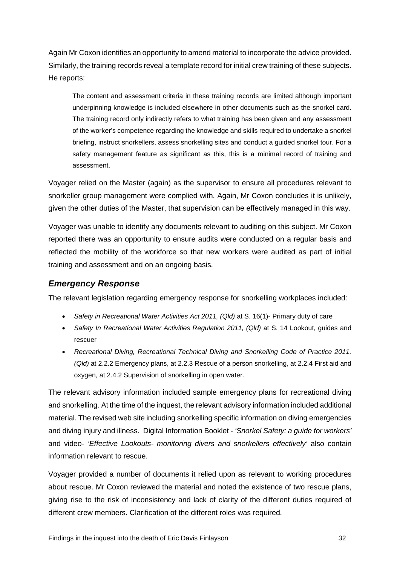Again Mr Coxon identifies an opportunity to amend material to incorporate the advice provided. Similarly, the training records reveal a template record for initial crew training of these subjects. He reports:

The content and assessment criteria in these training records are limited although important underpinning knowledge is included elsewhere in other documents such as the snorkel card. The training record only indirectly refers to what training has been given and any assessment of the worker's competence regarding the knowledge and skills required to undertake a snorkel briefing, instruct snorkellers, assess snorkelling sites and conduct a guided snorkel tour. For a safety management feature as significant as this, this is a minimal record of training and assessment.

Voyager relied on the Master (again) as the supervisor to ensure all procedures relevant to snorkeller group management were complied with. Again, Mr Coxon concludes it is unlikely, given the other duties of the Master, that supervision can be effectively managed in this way.

Voyager was unable to identify any documents relevant to auditing on this subject. Mr Coxon reported there was an opportunity to ensure audits were conducted on a regular basis and reflected the mobility of the workforce so that new workers were audited as part of initial training and assessment and on an ongoing basis.

### <span id="page-32-0"></span>*Emergency Response*

The relevant legislation regarding emergency response for snorkelling workplaces included:

- *Safety in Recreational Water Activities Act 2011, (Qld)* at S. 16(1)- Primary duty of care
- *Safety In Recreational Water Activities Regulation 2011, (Qld)* at S. 14 Lookout, guides and rescuer
- *Recreational Diving, Recreational Technical Diving and Snorkelling Code of Practice 2011, (Qld)* at 2.2.2 Emergency plans, at 2.2.3 Rescue of a person snorkelling, at 2.2.4 First aid and oxygen, at 2.4.2 Supervision of snorkelling in open water.

The relevant advisory information included sample emergency plans for recreational diving and snorkelling. At the time of the inquest, the relevant advisory information included additional material. The revised web site including snorkelling specific information on diving emergencies and diving injury and illness. Digital Information Booklet - *'Snorkel Safety: a guide for workers'* and video- *'Effective Lookouts- monitoring divers and snorkellers effectively'* also contain information relevant to rescue.

Voyager provided a number of documents it relied upon as relevant to working procedures about rescue. Mr Coxon reviewed the material and noted the existence of two rescue plans, giving rise to the risk of inconsistency and lack of clarity of the different duties required of different crew members. Clarification of the different roles was required.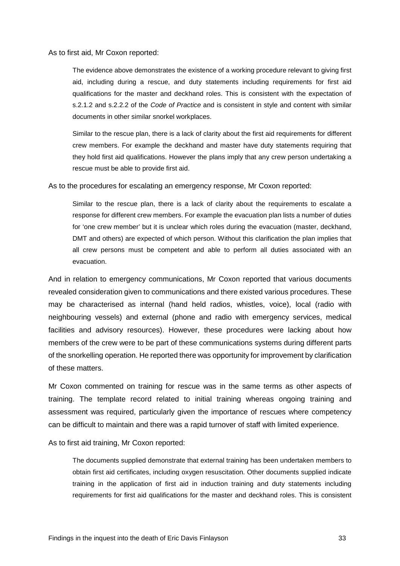As to first aid, Mr Coxon reported:

The evidence above demonstrates the existence of a working procedure relevant to giving first aid, including during a rescue, and duty statements including requirements for first aid qualifications for the master and deckhand roles. This is consistent with the expectation of s.2.1.2 and s.2.2.2 of the *Code of Practice* and is consistent in style and content with similar documents in other similar snorkel workplaces.

Similar to the rescue plan, there is a lack of clarity about the first aid requirements for different crew members. For example the deckhand and master have duty statements requiring that they hold first aid qualifications. However the plans imply that any crew person undertaking a rescue must be able to provide first aid.

As to the procedures for escalating an emergency response, Mr Coxon reported:

Similar to the rescue plan, there is a lack of clarity about the requirements to escalate a response for different crew members. For example the evacuation plan lists a number of duties for 'one crew member' but it is unclear which roles during the evacuation (master, deckhand, DMT and others) are expected of which person. Without this clarification the plan implies that all crew persons must be competent and able to perform all duties associated with an evacuation.

And in relation to emergency communications, Mr Coxon reported that various documents revealed consideration given to communications and there existed various procedures. These may be characterised as internal (hand held radios, whistles, voice), local (radio with neighbouring vessels) and external (phone and radio with emergency services, medical facilities and advisory resources). However, these procedures were lacking about how members of the crew were to be part of these communications systems during different parts of the snorkelling operation. He reported there was opportunity for improvement by clarification of these matters.

Mr Coxon commented on training for rescue was in the same terms as other aspects of training. The template record related to initial training whereas ongoing training and assessment was required, particularly given the importance of rescues where competency can be difficult to maintain and there was a rapid turnover of staff with limited experience.

As to first aid training, Mr Coxon reported:

The documents supplied demonstrate that external training has been undertaken members to obtain first aid certificates, including oxygen resuscitation. Other documents supplied indicate training in the application of first aid in induction training and duty statements including requirements for first aid qualifications for the master and deckhand roles. This is consistent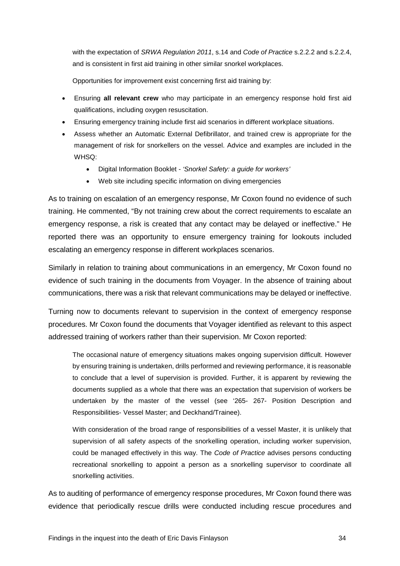with the expectation of *SRWA Regulation 2011*, s.14 and *Code of Practice* s.2.2.2 and s.2.2.4, and is consistent in first aid training in other similar snorkel workplaces.

Opportunities for improvement exist concerning first aid training by:

- Ensuring **all relevant crew** who may participate in an emergency response hold first aid qualifications, including oxygen resuscitation.
- Ensuring emergency training include first aid scenarios in different workplace situations.
- Assess whether an Automatic External Defibrillator, and trained crew is appropriate for the management of risk for snorkellers on the vessel. Advice and examples are included in the WHSQ:
	- Digital Information Booklet *'Snorkel Safety: a guide for workers'*
	- Web site including specific information on diving emergencies

As to training on escalation of an emergency response, Mr Coxon found no evidence of such training. He commented, "By not training crew about the correct requirements to escalate an emergency response, a risk is created that any contact may be delayed or ineffective." He reported there was an opportunity to ensure emergency training for lookouts included escalating an emergency response in different workplaces scenarios.

Similarly in relation to training about communications in an emergency, Mr Coxon found no evidence of such training in the documents from Voyager. In the absence of training about communications, there was a risk that relevant communications may be delayed or ineffective.

Turning now to documents relevant to supervision in the context of emergency response procedures. Mr Coxon found the documents that Voyager identified as relevant to this aspect addressed training of workers rather than their supervision. Mr Coxon reported:

The occasional nature of emergency situations makes ongoing supervision difficult. However by ensuring training is undertaken, drills performed and reviewing performance, it is reasonable to conclude that a level of supervision is provided. Further, it is apparent by reviewing the documents supplied as a whole that there was an expectation that supervision of workers be undertaken by the master of the vessel (see '265- 267- Position Description and Responsibilities- Vessel Master; and Deckhand/Trainee).

With consideration of the broad range of responsibilities of a vessel Master, it is unlikely that supervision of all safety aspects of the snorkelling operation, including worker supervision, could be managed effectively in this way. The *Code of Practice* advises persons conducting recreational snorkelling to appoint a person as a snorkelling supervisor to coordinate all snorkelling activities.

As to auditing of performance of emergency response procedures, Mr Coxon found there was evidence that periodically rescue drills were conducted including rescue procedures and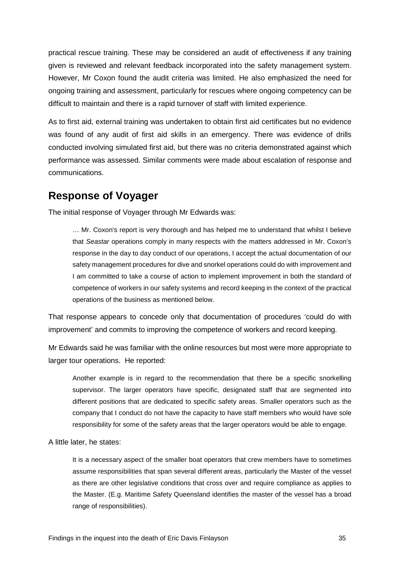practical rescue training. These may be considered an audit of effectiveness if any training given is reviewed and relevant feedback incorporated into the safety management system. However, Mr Coxon found the audit criteria was limited. He also emphasized the need for ongoing training and assessment, particularly for rescues where ongoing competency can be difficult to maintain and there is a rapid turnover of staff with limited experience.

As to first aid, external training was undertaken to obtain first aid certificates but no evidence was found of any audit of first aid skills in an emergency. There was evidence of drills conducted involving simulated first aid, but there was no criteria demonstrated against which performance was assessed. Similar comments were made about escalation of response and communications.

### <span id="page-35-0"></span>**Response of Voyager**

The initial response of Voyager through Mr Edwards was:

… Mr. Coxon's report is very thorough and has helped me to understand that whilst I believe that *Seastar* operations comply in many respects with the matters addressed in Mr. Coxon's response in the day to day conduct of our operations, I accept the actual documentation of our safety management procedures for dive and snorkel operations could do with improvement and I am committed to take a course of action to implement improvement in both the standard of competence of workers in our safety systems and record keeping in the context of the practical operations of the business as mentioned below.

That response appears to concede only that documentation of procedures 'could do with improvement' and commits to improving the competence of workers and record keeping.

Mr Edwards said he was familiar with the online resources but most were more appropriate to larger tour operations. He reported:

Another example is in regard to the recommendation that there be a specific snorkelling supervisor. The larger operators have specific, designated staff that are segmented into different positions that are dedicated to specific safety areas. Smaller operators such as the company that I conduct do not have the capacity to have staff members who would have sole responsibility for some of the safety areas that the larger operators would be able to engage.

A little later, he states:

It is a necessary aspect of the smaller boat operators that crew members have to sometimes assume responsibilities that span several different areas, particularly the Master of the vessel as there are other legislative conditions that cross over and require compliance as applies to the Master. (E.g. Maritime Safety Queensland identifies the master of the vessel has a broad range of responsibilities).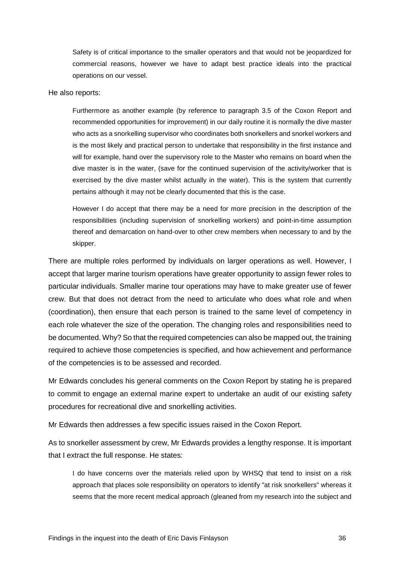Safety is of critical importance to the smaller operators and that would not be jeopardized for commercial reasons, however we have to adapt best practice ideals into the practical operations on our vessel.

#### He also reports:

Furthermore as another example (by reference to paragraph 3.5 of the Coxon Report and recommended opportunities for improvement) in our daily routine it is normally the dive master who acts as a snorkelling supervisor who coordinates both snorkellers and snorkel workers and is the most likely and practical person to undertake that responsibility in the first instance and will for example, hand over the supervisory role to the Master who remains on board when the dive master is in the water, (save for the continued supervision of the activity/worker that is exercised by the dive master whilst actually in the water). This is the system that currently pertains although it may not be clearly documented that this is the case.

However I do accept that there may be a need for more precision in the description of the responsibilities (including supervision of snorkelling workers) and point-in-time assumption thereof and demarcation on hand-over to other crew members when necessary to and by the skipper.

There are multiple roles performed by individuals on larger operations as well. However, I accept that larger marine tourism operations have greater opportunity to assign fewer roles to particular individuals. Smaller marine tour operations may have to make greater use of fewer crew. But that does not detract from the need to articulate who does what role and when (coordination), then ensure that each person is trained to the same level of competency in each role whatever the size of the operation. The changing roles and responsibilities need to be documented. Why? So that the required competencies can also be mapped out, the training required to achieve those competencies is specified, and how achievement and performance of the competencies is to be assessed and recorded.

Mr Edwards concludes his general comments on the Coxon Report by stating he is prepared to commit to engage an external marine expert to undertake an audit of our existing safety procedures for recreational dive and snorkelling activities.

Mr Edwards then addresses a few specific issues raised in the Coxon Report.

As to snorkeller assessment by crew, Mr Edwards provides a lengthy response. It is important that I extract the full response. He states:

I do have concerns over the materials relied upon by WHSQ that tend to insist on a risk approach that places sole responsibility on operators to identify "at risk snorkellers" whereas it seems that the more recent medical approach (gleaned from my research into the subject and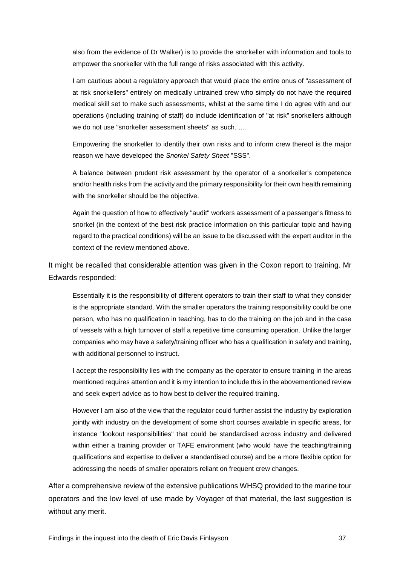also from the evidence of Dr Walker) is to provide the snorkeller with information and tools to empower the snorkeller with the full range of risks associated with this activity.

I am cautious about a regulatory approach that would place the entire onus of "assessment of at risk snorkellers" entirely on medically untrained crew who simply do not have the required medical skill set to make such assessments, whilst at the same time I do agree with and our operations (including training of staff) do include identification of "at risk" snorkellers although we do not use "snorkeller assessment sheets'' as such. ….

Empowering the snorkeller to identify their own risks and to inform crew thereof is the major reason we have developed the *Snorkel Safety Sheet* "SSS".

A balance between prudent risk assessment by the operator of a snorkeller's competence and/or health risks from the activity and the primary responsibility for their own health remaining with the snorkeller should be the objective.

Again the question of how to effectively "audit" workers assessment of a passenger's fitness to snorkel (in the context of the best risk practice information on this particular topic and having regard to the practical conditions) will be an issue to be discussed with the expert auditor in the context of the review mentioned above.

It might be recalled that considerable attention was given in the Coxon report to training. Mr Edwards responded:

Essentially it is the responsibility of different operators to train their staff to what they consider is the appropriate standard. With the smaller operators the training responsibility could be one person, who has no qualification in teaching, has to do the training on the job and in the case of vessels with a high turnover of staff a repetitive time consuming operation. Unlike the larger companies who may have a safety/training officer who has a qualification in safety and training, with additional personnel to instruct.

I accept the responsibility lies with the company as the operator to ensure training in the areas mentioned requires attention and it is my intention to include this in the abovementioned review and seek expert advice as to how best to deliver the required training.

However I am also of the view that the regulator could further assist the industry by exploration jointly with industry on the development of some short courses available in specific areas, for instance "lookout responsibilities" that could be standardised across industry and delivered within either a training provider or TAFE environment (who would have the teaching/training qualifications and expertise to deliver a standardised course) and be a more flexible option for addressing the needs of smaller operators reliant on frequent crew changes.

After a comprehensive review of the extensive publications WHSQ provided to the marine tour operators and the low level of use made by Voyager of that material, the last suggestion is without any merit.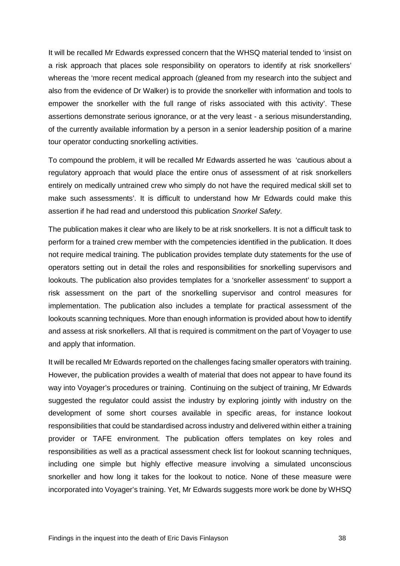It will be recalled Mr Edwards expressed concern that the WHSQ material tended to 'insist on a risk approach that places sole responsibility on operators to identify at risk snorkellers' whereas the 'more recent medical approach (gleaned from my research into the subject and also from the evidence of Dr Walker) is to provide the snorkeller with information and tools to empower the snorkeller with the full range of risks associated with this activity'. These assertions demonstrate serious ignorance, or at the very least - a serious misunderstanding, of the currently available information by a person in a senior leadership position of a marine tour operator conducting snorkelling activities.

To compound the problem, it will be recalled Mr Edwards asserted he was 'cautious about a regulatory approach that would place the entire onus of assessment of at risk snorkellers entirely on medically untrained crew who simply do not have the required medical skill set to make such assessments'. It is difficult to understand how Mr Edwards could make this assertion if he had read and understood this publication *Snorkel Safety*.

The publication makes it clear who are likely to be at risk snorkellers. It is not a difficult task to perform for a trained crew member with the competencies identified in the publication. It does not require medical training. The publication provides template duty statements for the use of operators setting out in detail the roles and responsibilities for snorkelling supervisors and lookouts. The publication also provides templates for a 'snorkeller assessment' to support a risk assessment on the part of the snorkelling supervisor and control measures for implementation. The publication also includes a template for practical assessment of the lookouts scanning techniques. More than enough information is provided about how to identify and assess at risk snorkellers. All that is required is commitment on the part of Voyager to use and apply that information.

It will be recalled Mr Edwards reported on the challenges facing smaller operators with training. However, the publication provides a wealth of material that does not appear to have found its way into Voyager's procedures or training. Continuing on the subject of training, Mr Edwards suggested the regulator could assist the industry by exploring jointly with industry on the development of some short courses available in specific areas, for instance lookout responsibilities that could be standardised across industry and delivered within either a training provider or TAFE environment. The publication offers templates on key roles and responsibilities as well as a practical assessment check list for lookout scanning techniques, including one simple but highly effective measure involving a simulated unconscious snorkeller and how long it takes for the lookout to notice. None of these measure were incorporated into Voyager's training. Yet, Mr Edwards suggests more work be done by WHSQ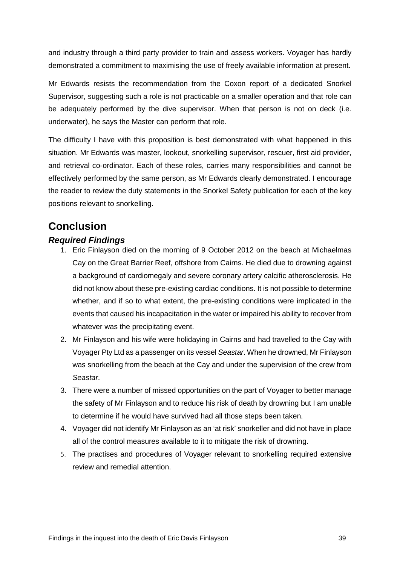and industry through a third party provider to train and assess workers. Voyager has hardly demonstrated a commitment to maximising the use of freely available information at present.

Mr Edwards resists the recommendation from the Coxon report of a dedicated Snorkel Supervisor, suggesting such a role is not practicable on a smaller operation and that role can be adequately performed by the dive supervisor. When that person is not on deck (i.e. underwater), he says the Master can perform that role.

The difficulty I have with this proposition is best demonstrated with what happened in this situation. Mr Edwards was master, lookout, snorkelling supervisor, rescuer, first aid provider, and retrieval co-ordinator. Each of these roles, carries many responsibilities and cannot be effectively performed by the same person, as Mr Edwards clearly demonstrated. I encourage the reader to review the duty statements in the Snorkel Safety publication for each of the key positions relevant to snorkelling.

# <span id="page-39-0"></span>**Conclusion**

### <span id="page-39-1"></span>*Required Findings*

- 1. Eric Finlayson died on the morning of 9 October 2012 on the beach at Michaelmas Cay on the Great Barrier Reef, offshore from Cairns. He died due to drowning against a background of cardiomegaly and severe coronary artery calcific atherosclerosis. He did not know about these pre-existing cardiac conditions. It is not possible to determine whether, and if so to what extent, the pre-existing conditions were implicated in the events that caused his incapacitation in the water or impaired his ability to recover from whatever was the precipitating event.
- 2. Mr Finlayson and his wife were holidaying in Cairns and had travelled to the Cay with Voyager Pty Ltd as a passenger on its vessel *Seastar*. When he drowned, Mr Finlayson was snorkelling from the beach at the Cay and under the supervision of the crew from *Seastar*.
- 3. There were a number of missed opportunities on the part of Voyager to better manage the safety of Mr Finlayson and to reduce his risk of death by drowning but I am unable to determine if he would have survived had all those steps been taken.
- 4. Voyager did not identify Mr Finlayson as an 'at risk' snorkeller and did not have in place all of the control measures available to it to mitigate the risk of drowning.
- 5. The practises and procedures of Voyager relevant to snorkelling required extensive review and remedial attention.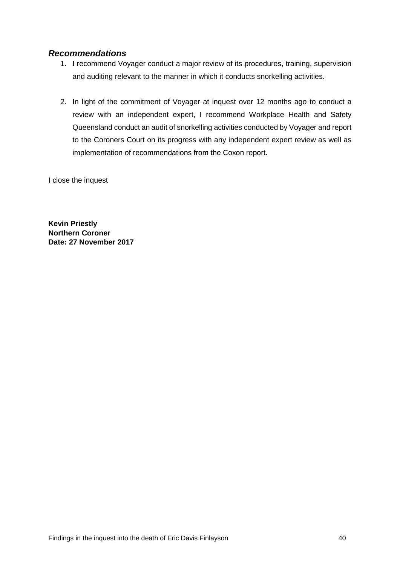### <span id="page-40-0"></span>*Recommendations*

- 1. I recommend Voyager conduct a major review of its procedures, training, supervision and auditing relevant to the manner in which it conducts snorkelling activities.
- 2. In light of the commitment of Voyager at inquest over 12 months ago to conduct a review with an independent expert, I recommend Workplace Health and Safety Queensland conduct an audit of snorkelling activities conducted by Voyager and report to the Coroners Court on its progress with any independent expert review as well as implementation of recommendations from the Coxon report.

I close the inquest

**Kevin Priestly Northern Coroner Date: 27 November 2017**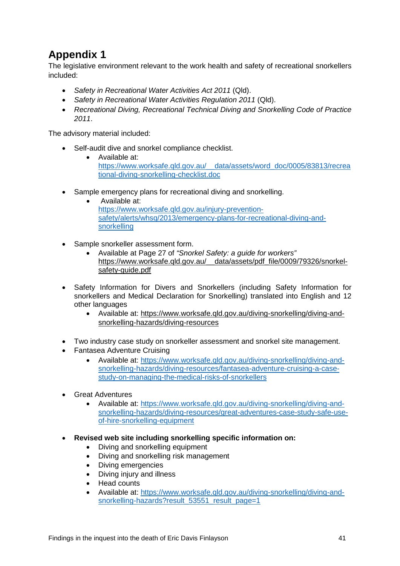# <span id="page-41-0"></span>**Appendix 1**

The legislative environment relevant to the work health and safety of recreational snorkellers included:

- *Safety in Recreational Water Activities Act 2011* (Qld).
- *Safety in Recreational Water Activities Regulation 2011* (Qld).
- *Recreational Diving, Recreational Technical Diving and Snorkelling Code of Practice 2011*.

The advisory material included:

- Self-audit dive and snorkel compliance checklist.
	- Available at: [https://www.worksafe.qld.gov.au/\\_\\_data/assets/word\\_doc/0005/83813/recrea](https://www.worksafe.qld.gov.au/__data/assets/word_doc/0005/83813/recreational-diving-snorkelling-checklist.doc) [tional-diving-snorkelling-checklist.doc](https://www.worksafe.qld.gov.au/__data/assets/word_doc/0005/83813/recreational-diving-snorkelling-checklist.doc)
- Sample emergency plans for recreational diving and snorkelling.
	- Available at: [https://www.worksafe.qld.gov.au/injury-prevention](https://www.worksafe.qld.gov.au/injury-prevention-safety/alerts/whsq/2013/emergency-plans-for-recreational-diving-and-snorkelling)[safety/alerts/whsq/2013/emergency-plans-for-recreational-diving-and](https://www.worksafe.qld.gov.au/injury-prevention-safety/alerts/whsq/2013/emergency-plans-for-recreational-diving-and-snorkelling)[snorkelling](https://www.worksafe.qld.gov.au/injury-prevention-safety/alerts/whsq/2013/emergency-plans-for-recreational-diving-and-snorkelling)
- Sample snorkeller assessment form.
	- Available at Page 27 of *"Snorkel Safety: a guide for workers"* [https://www.worksafe.qld.gov.au/\\_\\_data/assets/pdf\\_file/0009/79326/snorkel](https://www.worksafe.qld.gov.au/__data/assets/pdf_file/0009/79326/snorkel-safety-guide.pdf)[safety-guide.pdf](https://www.worksafe.qld.gov.au/__data/assets/pdf_file/0009/79326/snorkel-safety-guide.pdf)
- Safety Information for Divers and Snorkellers (including Safety Information for snorkellers and Medical Declaration for Snorkelling) translated into English and 12 other languages
	- Available at: [https://www.worksafe.qld.gov.au/diving-snorkelling/diving-and](https://www.worksafe.qld.gov.au/diving-snorkelling/diving-and-snorkelling-hazards/diving-resources)[snorkelling-hazards/diving-resources](https://www.worksafe.qld.gov.au/diving-snorkelling/diving-and-snorkelling-hazards/diving-resources)
- Two industry case study on snorkeller assessment and snorkel site management.
- Fantasea Adventure Cruising
	- Available at: [https://www.worksafe.qld.gov.au/diving-snorkelling/diving-and](https://www.worksafe.qld.gov.au/diving-snorkelling/diving-and-snorkelling-hazards/diving-resources/fantasea-adventure-cruising-a-case-study-on-managing-the-medical-risks-of-snorkellers)[snorkelling-hazards/diving-resources/fantasea-adventure-cruising-a-case](https://www.worksafe.qld.gov.au/diving-snorkelling/diving-and-snorkelling-hazards/diving-resources/fantasea-adventure-cruising-a-case-study-on-managing-the-medical-risks-of-snorkellers)[study-on-managing-the-medical-risks-of-snorkellers](https://www.worksafe.qld.gov.au/diving-snorkelling/diving-and-snorkelling-hazards/diving-resources/fantasea-adventure-cruising-a-case-study-on-managing-the-medical-risks-of-snorkellers)
- Great Adventures
	- Available at: [https://www.worksafe.qld.gov.au/diving-snorkelling/diving-and](https://www.worksafe.qld.gov.au/diving-snorkelling/diving-and-snorkelling-hazards/diving-resources/great-adventures-case-study-safe-use-of-hire-snorkelling-equipment)[snorkelling-hazards/diving-resources/great-adventures-case-study-safe-use](https://www.worksafe.qld.gov.au/diving-snorkelling/diving-and-snorkelling-hazards/diving-resources/great-adventures-case-study-safe-use-of-hire-snorkelling-equipment)[of-hire-snorkelling-equipment](https://www.worksafe.qld.gov.au/diving-snorkelling/diving-and-snorkelling-hazards/diving-resources/great-adventures-case-study-safe-use-of-hire-snorkelling-equipment)
- **Revised web site including snorkelling specific information on:**
	- Diving and snorkelling equipment
	- Diving and snorkelling risk management
	- Diving emergencies
	- Diving injury and illness
	- Head counts
	- Available at: [https://www.worksafe.qld.gov.au/diving-snorkelling/diving-and](https://www.worksafe.qld.gov.au/diving-snorkelling/diving-and-snorkelling-hazards?result_53551_result_page=1)[snorkelling-hazards?result\\_53551\\_result\\_page=1](https://www.worksafe.qld.gov.au/diving-snorkelling/diving-and-snorkelling-hazards?result_53551_result_page=1)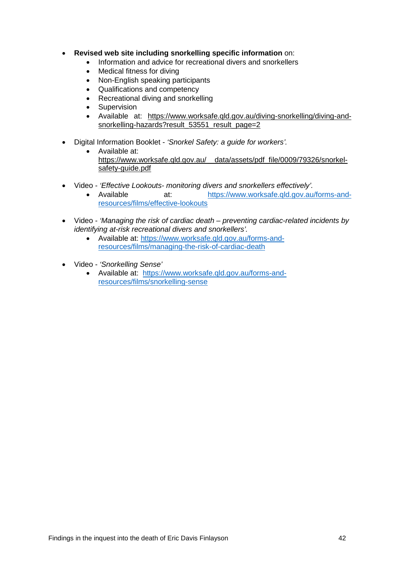- **Revised web site including snorkelling specific information** on:
	- Information and advice for recreational divers and snorkellers
	- Medical fitness for diving
	- Non-English speaking participants
	- Qualifications and competency
	- Recreational diving and snorkelling
	- Supervision
	- Available at: [https://www.worksafe.qld.gov.au/diving-snorkelling/diving-and](https://www.worksafe.qld.gov.au/diving-snorkelling/diving-and-snorkelling-hazards?result_53551_result_page=2)[snorkelling-hazards?result\\_53551\\_result\\_page=2](https://www.worksafe.qld.gov.au/diving-snorkelling/diving-and-snorkelling-hazards?result_53551_result_page=2)
- Digital Information Booklet *'Snorkel Safety: a guide for workers'.*
	- Available at: [https://www.worksafe.qld.gov.au/\\_\\_data/assets/pdf\\_file/0009/79326/snorkel](https://www.worksafe.qld.gov.au/__data/assets/pdf_file/0009/79326/snorkel-safety-guide.pdf)[safety-guide.pdf](https://www.worksafe.qld.gov.au/__data/assets/pdf_file/0009/79326/snorkel-safety-guide.pdf)
- Video *'Effective Lookouts- monitoring divers and snorkellers effectively'.*
	- Available at: [https://www.worksafe.qld.gov.au/forms-and](https://www.worksafe.qld.gov.au/forms-and-resources/films/effective-lookouts)[resources/films/effective-lookouts](https://www.worksafe.qld.gov.au/forms-and-resources/films/effective-lookouts)
- Video *'Managing the risk of cardiac death – preventing cardiac-related incidents by identifying at-risk recreational divers and snorkellers'.*
	- Available at: [https://www.worksafe.qld.gov.au/forms-and](https://www.worksafe.qld.gov.au/forms-and-resources/films/managing-the-risk-of-cardiac-death)[resources/films/managing-the-risk-of-cardiac-death](https://www.worksafe.qld.gov.au/forms-and-resources/films/managing-the-risk-of-cardiac-death)
- Video *'Snorkelling Sense'*
	- Available at: [https://www.worksafe.qld.gov.au/forms-and](https://www.worksafe.qld.gov.au/forms-and-resources/films/snorkelling-sense)[resources/films/snorkelling-sense](https://www.worksafe.qld.gov.au/forms-and-resources/films/snorkelling-sense)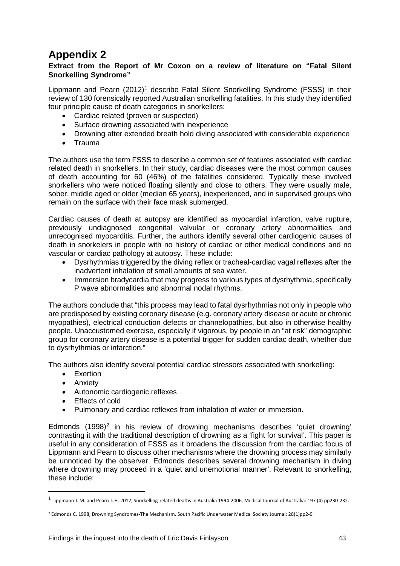# <span id="page-43-0"></span>**Appendix 2**

#### **Extract from the Report of Mr Coxon on a review of literature on "Fatal Silent Snorkelling Syndrome"**

Lippmann and Pearn  $(2012)^1$  $(2012)^1$  $(2012)^1$  describe Fatal Silent Snorkelling Syndrome (FSSS) in their review of 130 forensically reported Australian snorkelling fatalities. In this study they identified four principle cause of death categories in snorkellers:

- Cardiac related (proven or suspected)
- Surface drowning associated with inexperience
- Drowning after extended breath hold diving associated with considerable experience
- Trauma

The authors use the term FSSS to describe a common set of features associated with cardiac related death in snorkellers. In their study, cardiac diseases were the most common causes of death accounting for 60 (46%) of the fatalities considered. Typically these involved snorkellers who were noticed floating silently and close to others. They were usually male, sober, middle aged or older (median 65 years), inexperienced, and in supervised groups who remain on the surface with their face mask submerged.

Cardiac causes of death at autopsy are identified as myocardial infarction, valve rupture, previously undiagnosed congenital valvular or coronary artery abnormalities and unrecognised myocarditis. Further, the authors identify several other cardiogenic causes of death in snorkelers in people with no history of cardiac or other medical conditions and no vascular or cardiac pathology at autopsy. These include:

- Dysrhythmias triggered by the diving reflex or tracheal-cardiac vagal reflexes after the inadvertent inhalation of small amounts of sea water.
- Immersion bradycardia that may progress to various types of dysrhythmia, specifically P wave abnormalities and abnormal nodal rhythms.

The authors conclude that "this process may lead to fatal dysrhythmias not only in people who are predisposed by existing coronary disease (e.g. coronary artery disease or acute or chronic myopathies), electrical conduction defects or channelopathies, but also in otherwise healthy people. Unaccustomed exercise, especially if vigorous, by people in an "at risk" demographic group for coronary artery disease is a potential trigger for sudden cardiac death, whether due to dysrhythmias or infarction."

The authors also identify several potential cardiac stressors associated with snorkelling:

- Exertion
- Anxiety

 $\overline{\phantom{a}}$ 

- Autonomic cardiogenic reflexes
- Effects of cold
- Pulmonary and cardiac reflexes from inhalation of water or immersion.

Edmonds  $(1998)^2$  $(1998)^2$  in his review of drowning mechanisms describes 'quiet drowning' contrasting it with the traditional description of drowning as a 'fight for survival'. This paper is useful in any consideration of FSSS as it broadens the discussion from the cardiac focus of Lippmann and Pearn to discuss other mechanisms where the drowning process may similarly be unnoticed by the observer. Edmonds describes several drowning mechanism in diving where drowning may proceed in a 'quiet and unemotional manner'. Relevant to snorkelling, these include:

<span id="page-43-1"></span><sup>1</sup> Lippmann J. M. and Pearn J. H. 2012, Snorkelling-related deaths in Australia 1994-2006, Medical Journal of Australia: 197 (4) pp230-232.

<span id="page-43-2"></span><sup>2</sup> Edmonds C. 1998, Drowning Syndromes-The Mechanism. South Pacific Underwater Medical Society Journal: 28(1)pp2-9